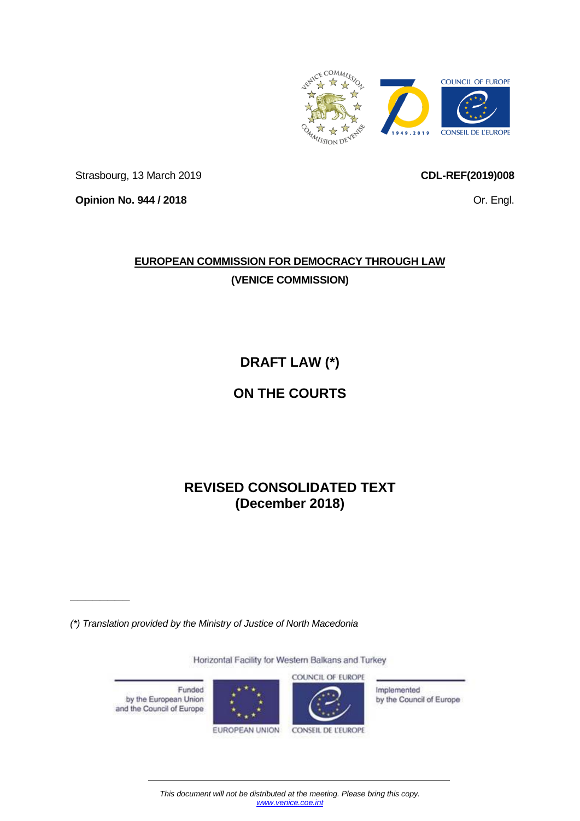

Strasbourg, 13 March 2019

<span id="page-0-0"></span>**CDL-REF(2019)008**

Or. Engl.

**Opinion No. 944 / 2018**

**\_\_\_\_\_\_\_\_**

# **EUROPEAN COMMISSION FOR DEMOCRACY THROUGH LAW (VENICE COMMISSION)**

**DRAFT LAW (\*)**

# **ON THE COURTS**

# **REVISED CONSOLIDATED TEXT (December 2018)**

*(\*) Translation provided by the Ministry of Justice of North Macedonia*

Horizontal Facility for Western Balkans and Turkey COUNCIL OF EUROPE Funded Implemented by the European Union by the Council of Europe and the Council of Europe EUROPEAN UNION CONSEIL DE L'EUROPE

*This document will not be distributed at the meeting. Please bring this copy. [www.venice.coe.int](http://www.venice.coe.int/)*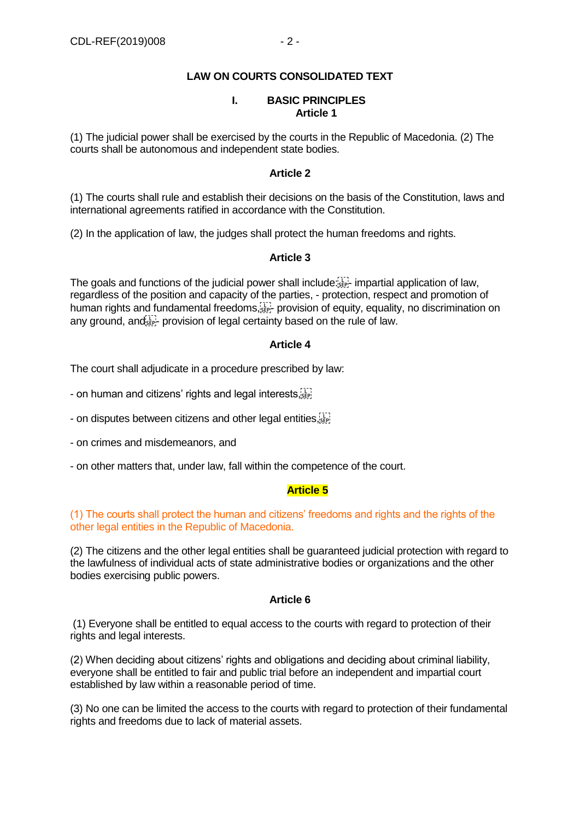# **LAW ON COURTS CONSOLIDATED TEXT**

#### **I. BASIC PRINCIPLES Article 1**

(1) The judicial power shall be exercised by the courts in the Republic of Macedonia. (2) The courts shall be autonomous and independent state bodies.

#### **Article 2**

(1) The courts shall rule and establish their decisions on the basis of the Constitution, laws and international agreements ratified in accordance with the Constitution.

(2) In the application of law, the judges shall protect the human freedoms and rights.

#### **Article 3**

The goals and functions of the judicial power shall include:  $\mathbb{E}^T$  impartial application of law, regardless of the position and capacity of the parties, - protection, respect and promotion of human rights and fundamental freedoms,  $F_{\text{SEP}}$  provision of equity, equality, no discrimination on any ground, and  $\frac{1}{2}$  provision of legal certainty based on the rule of law.

#### **Article 4**

The court shall adjudicate in a procedure prescribed by law:

- on human and citizens' rights and legal interests, step

- on disputes between citizens and other legal entities, see

- on crimes and misdemeanors, and

- on other matters that, under law, fall within the competence of the court.

## **Article 5**

## (1) The courts shall protect the human and citizens' freedoms and rights and the rights of the other legal entities in the Republic of Macedonia.

(2) The citizens and the other legal entities shall be guaranteed judicial protection with regard to the lawfulness of individual acts of state administrative bodies or organizations and the other bodies exercising public powers.

#### **Article 6**

(1) Everyone shall be entitled to equal access to the courts with regard to protection of their rights and legal interests.

(2) When deciding about citizens' rights and obligations and deciding about criminal liability, everyone shall be entitled to fair and public trial before an independent and impartial court established by law within a reasonable period of time.

(3) No one can be limited the access to the courts with regard to protection of their fundamental rights and freedoms due to lack of material assets.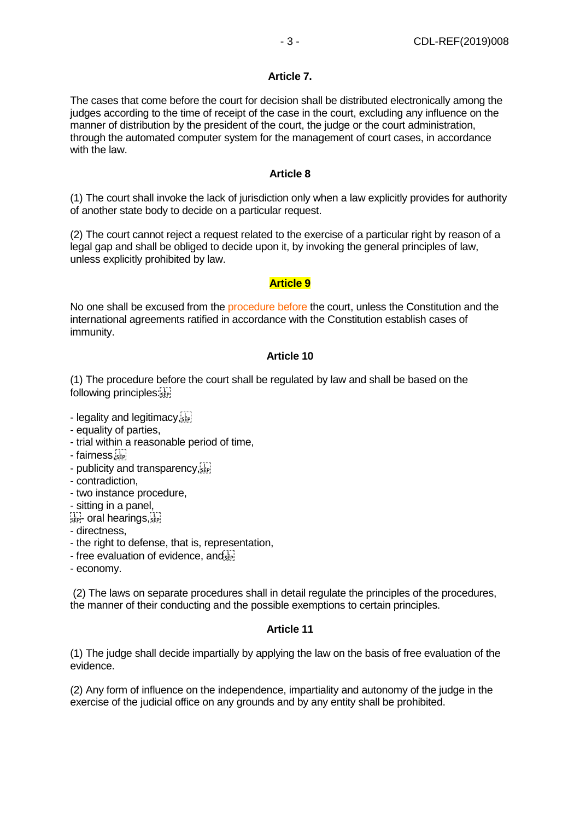#### **Article 7.**

The cases that come before the court for decision shall be distributed electronically among the judges according to the time of receipt of the case in the court, excluding any influence on the manner of distribution by the president of the court, the judge or the court administration, through the automated computer system for the management of court cases, in accordance with the law.

#### **Article 8**

(1) The court shall invoke the lack of jurisdiction only when a law explicitly provides for authority of another state body to decide on a particular request.

(2) The court cannot reject a request related to the exercise of a particular right by reason of a legal gap and shall be obliged to decide upon it, by invoking the general principles of law, unless explicitly prohibited by law.

#### **Article 9**

No one shall be excused from the procedure before the court, unless the Constitution and the international agreements ratified in accordance with the Constitution establish cases of immunity.

## **Article 10**

(1) The procedure before the court shall be regulated by law and shall be based on the following principles:

- legality and legitimacy, see
- equality of parties,
- trial within a reasonable period of time,
- fairness,
- publicity and transparency, see
- contradiction,
- two instance procedure,
- sitting in a panel,

 $\sum_{s \in P}$  oral hearings,  $\sum_{s \in P}$ 

- directness,
- the right to defense, that is, representation,
- free evaluation of evidence, and FIT
- economy.

(2) The laws on separate procedures shall in detail regulate the principles of the procedures, the manner of their conducting and the possible exemptions to certain principles.

## **Article 11**

(1) The judge shall decide impartially by applying the law on the basis of free evaluation of the evidence.

(2) Any form of influence on the independence, impartiality and autonomy of the judge in the exercise of the judicial office on any grounds and by any entity shall be prohibited.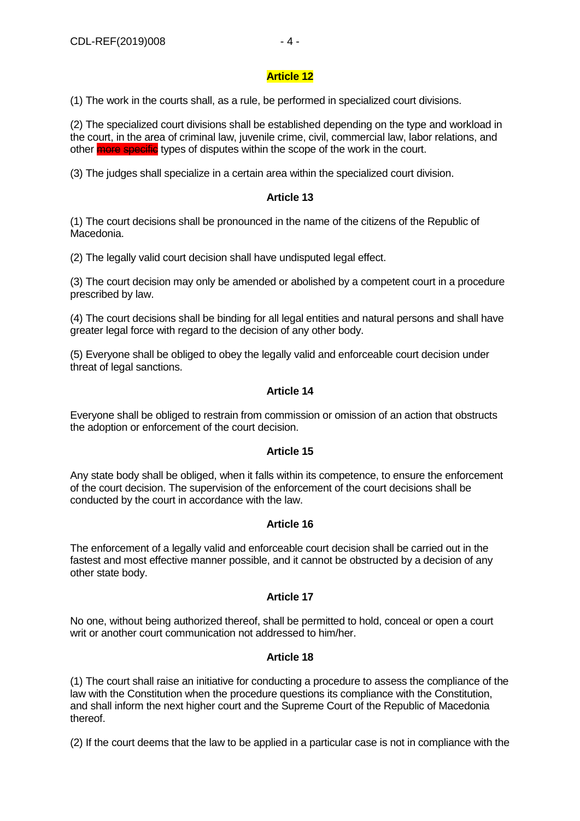# **Article 12**

(1) The work in the courts shall, as a rule, be performed in specialized court divisions.

(2) The specialized court divisions shall be established depending on the type and workload in the court, in the area of criminal law, juvenile crime, civil, commercial law, labor relations, and other more specific types of disputes within the scope of the work in the court.

(3) The judges shall specialize in a certain area within the specialized court division.

# **Article 13**

(1) The court decisions shall be pronounced in the name of the citizens of the Republic of Macedonia.

(2) The legally valid court decision shall have undisputed legal effect.

(3) The court decision may only be amended or abolished by a competent court in a procedure prescribed by law.

(4) The court decisions shall be binding for all legal entities and natural persons and shall have greater legal force with regard to the decision of any other body.

(5) Everyone shall be obliged to obey the legally valid and enforceable court decision under threat of legal sanctions.

# **Article 14**

Everyone shall be obliged to restrain from commission or omission of an action that obstructs the adoption or enforcement of the court decision.

# **Article 15**

Any state body shall be obliged, when it falls within its competence, to ensure the enforcement of the court decision. The supervision of the enforcement of the court decisions shall be conducted by the court in accordance with the law.

# **Article 16**

The enforcement of a legally valid and enforceable court decision shall be carried out in the fastest and most effective manner possible, and it cannot be obstructed by a decision of any other state body.

# **Article 17**

No one, without being authorized thereof, shall be permitted to hold, conceal or open a court writ or another court communication not addressed to him/her

## **Article 18**

(1) The court shall raise an initiative for conducting a procedure to assess the compliance of the law with the Constitution when the procedure questions its compliance with the Constitution, and shall inform the next higher court and the Supreme Court of the Republic of Macedonia thereof.

(2) If the court deems that the law to be applied in a particular case is not in compliance with the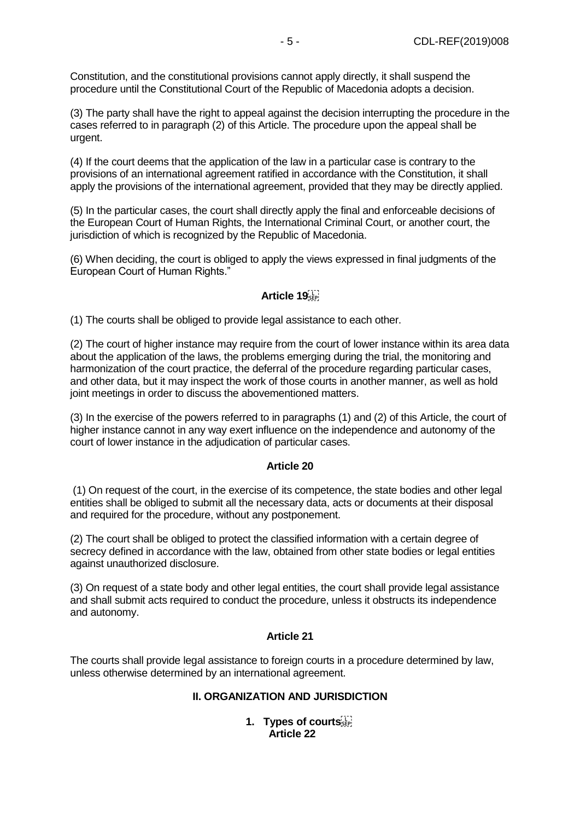Constitution, and the constitutional provisions cannot apply directly, it shall suspend the procedure until the Constitutional Court of the Republic of Macedonia adopts a decision.

(3) The party shall have the right to appeal against the decision interrupting the procedure in the cases referred to in paragraph (2) of this Article. The procedure upon the appeal shall be urgent.

(4) If the court deems that the application of the law in a particular case is contrary to the provisions of an international agreement ratified in accordance with the Constitution, it shall apply the provisions of the international agreement, provided that they may be directly applied.

(5) In the particular cases, the court shall directly apply the final and enforceable decisions of the European Court of Human Rights, the International Criminal Court, or another court, the jurisdiction of which is recognized by the Republic of Macedonia.

(6) When deciding, the court is obliged to apply the views expressed in final judgments of the European Court of Human Rights."

# **Article 19**

(1) The courts shall be obliged to provide legal assistance to each other.

(2) The court of higher instance may require from the court of lower instance within its area data about the application of the laws, the problems emerging during the trial, the monitoring and harmonization of the court practice, the deferral of the procedure regarding particular cases, and other data, but it may inspect the work of those courts in another manner, as well as hold joint meetings in order to discuss the abovementioned matters.

(3) In the exercise of the powers referred to in paragraphs (1) and (2) of this Article, the court of higher instance cannot in any way exert influence on the independence and autonomy of the court of lower instance in the adjudication of particular cases.

#### **Article 20**

(1) On request of the court, in the exercise of its competence, the state bodies and other legal entities shall be obliged to submit all the necessary data, acts or documents at their disposal and required for the procedure, without any postponement.

(2) The court shall be obliged to protect the classified information with a certain degree of secrecy defined in accordance with the law, obtained from other state bodies or legal entities against unauthorized disclosure.

(3) On request of a state body and other legal entities, the court shall provide legal assistance and shall submit acts required to conduct the procedure, unless it obstructs its independence and autonomy.

## **Article 21**

The courts shall provide legal assistance to foreign courts in a procedure determined by law, unless otherwise determined by an international agreement.

## **II. ORGANIZATION AND JURISDICTION**

**1. Types of courts Article 22**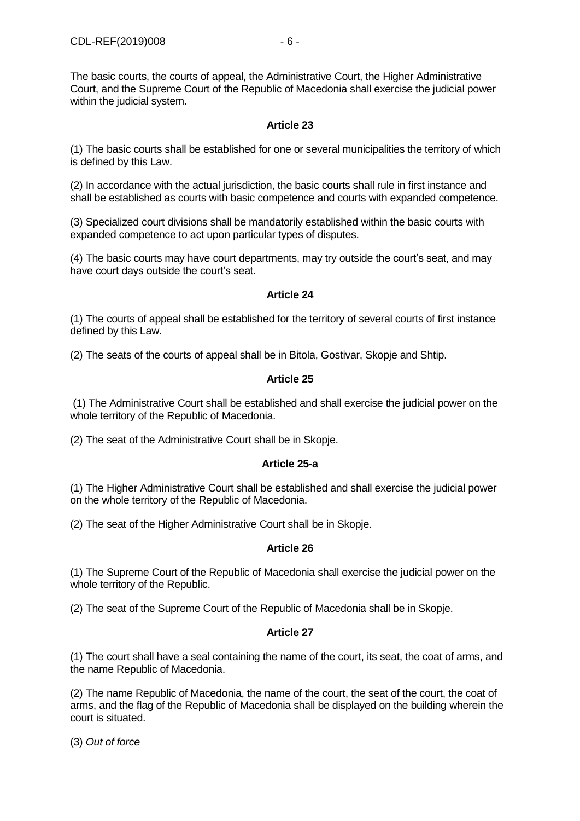The basic courts, the courts of appeal, the Administrative Court, the Higher Administrative Court, and the Supreme Court of the Republic of Macedonia shall exercise the judicial power within the judicial system.

# **Article 23**

(1) The basic courts shall be established for one or several municipalities the territory of which is defined by this Law.

(2) In accordance with the actual jurisdiction, the basic courts shall rule in first instance and shall be established as courts with basic competence and courts with expanded competence.

(3) Specialized court divisions shall be mandatorily established within the basic courts with expanded competence to act upon particular types of disputes.

(4) The basic courts may have court departments, may try outside the court's seat, and may have court days outside the court's seat.

## **Article 24**

(1) The courts of appeal shall be established for the territory of several courts of first instance defined by this Law.

(2) The seats of the courts of appeal shall be in Bitola, Gostivar, Skopje and Shtip.

## **Article 25**

(1) The Administrative Court shall be established and shall exercise the judicial power on the whole territory of the Republic of Macedonia.

(2) The seat of the Administrative Court shall be in Skopje.

## **Article 25-a**

(1) The Higher Administrative Court shall be established and shall exercise the judicial power on the whole territory of the Republic of Macedonia.

(2) The seat of the Higher Administrative Court shall be in Skopje.

## **Article 26**

(1) The Supreme Court of the Republic of Macedonia shall exercise the judicial power on the whole territory of the Republic.

(2) The seat of the Supreme Court of the Republic of Macedonia shall be in Skopje.

## **Article 27**

(1) The court shall have a seal containing the name of the court, its seat, the coat of arms, and the name Republic of Macedonia.

(2) The name Republic of Macedonia, the name of the court, the seat of the court, the coat of arms, and the flag of the Republic of Macedonia shall be displayed on the building wherein the court is situated.

(3) *Out of force*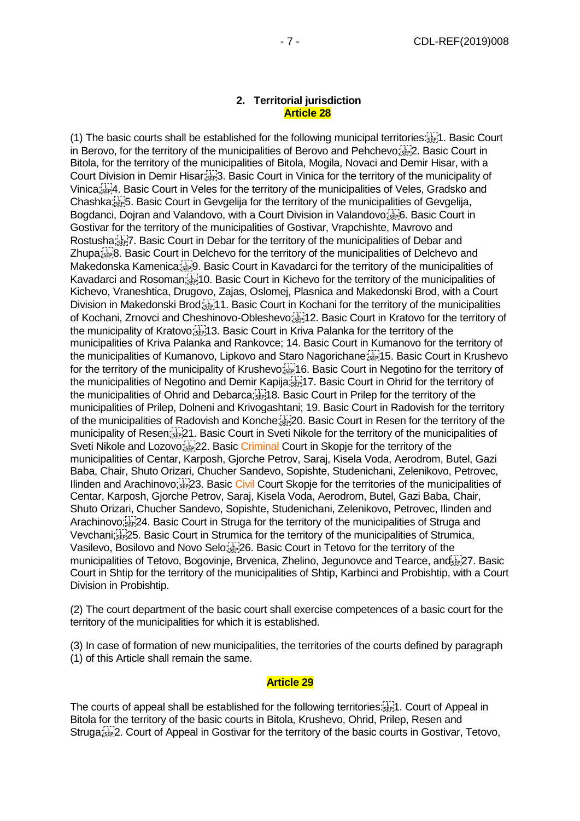#### **2. Territorial jurisdiction Article 28**

(1) The basic courts shall be established for the following municipal territories: 1. Basic Court in Berovo, for the territory of the municipalities of Berovo and Pehchevo; Epenzia: Basic Court in Bitola, for the territory of the municipalities of Bitola, Mogila, Novaci and Demir Hisar, with a Court Division in Demir Hisar; 3. Basic Court in Vinica for the territory of the municipality of Vinica; 4. Basic Court in Veles for the territory of the municipalities of Veles, Gradsko and Chashka; 5. Basic Court in Gevgelija for the territory of the municipalities of Gevgelija, Bogdanci, Dojran and Valandovo, with a Court Division in Valandovo; EP; 6. Basic Court in Gostivar for the territory of the municipalities of Gostivar, Vrapchishte, Mavrovo and Rostusha;<sup>17</sup><sub>1</sub>7. Basic Court in Debar for the territory of the municipalities of Debar and Zhupa; Final Basic Court in Delchevo for the territory of the municipalities of Delchevo and Makedonska Kamenica;<sup>[17</sup>]. Basic Court in Kavadarci for the territory of the municipalities of Kavadarci and Rosoman; 10. Basic Court in Kichevo for the territory of the municipalities of Kichevo, Vraneshtica, Drugovo, Zajas, Oslomej, Plasnica and Makedonski Brod, with a Court Division in Makedonski Brod;<sup>[11</sup>]1. Basic Court in Kochani for the territory of the municipalities of Kochani, Zrnovci and Cheshinovo-Obleshevo; 12. Basic Court in Kratovo for the territory of the municipality of Kratovo; 13. Basic Court in Kriva Palanka for the territory of the municipalities of Kriva Palanka and Rankovce; 14. Basic Court in Kumanovo for the territory of the municipalities of Kumanovo, Lipkovo and Staro Nagorichane; 15. Basic Court in Krushevo for the territory of the municipality of Krushevo;<sup>[17</sup>] 6. Basic Court in Negotino for the territory of the municipalities of Negotino and Demir Kapija; 17. Basic Court in Ohrid for the territory of the municipalities of Ohrid and Debarca; 18. Basic Court in Prilep for the territory of the municipalities of Prilep, Dolneni and Krivogashtani; 19. Basic Court in Radovish for the territory of the municipalities of Radovish and Konche; 20. Basic Court in Resen for the territory of the municipality of Resen; 21. Basic Court in Sveti Nikole for the territory of the municipalities of Sveti Nikole and Lozovo;<sup>[17</sup>] 22. Basic Criminal Court in Skopje for the territory of the municipalities of Centar, Karposh, Gjorche Petrov, Saraj, Kisela Voda, Aerodrom, Butel, Gazi Baba, Chair, Shuto Orizari, Chucher Sandevo, Sopishte, Studenichani, Zelenikovo, Petrovec, Ilinden and Arachinovo; <sup>[17</sup>] 23. Basic Civil Court Skopje for the territories of the municipalities of Centar, Karposh, Gjorche Petrov, Saraj, Kisela Voda, Aerodrom, Butel, Gazi Baba, Chair, Shuto Orizari, Chucher Sandevo, Sopishte, Studenichani, Zelenikovo, Petrovec, Ilinden and Arachinovo;<sup>[17]</sup> 24. Basic Court in Struga for the territory of the municipalities of Struga and Vevchani; 25. Basic Court in Strumica for the territory of the municipalities of Strumica, Vasilevo, Bosilovo and Novo Selo; 26. Basic Court in Tetovo for the territory of the municipalities of Tetovo, Bogovinie, Brvenica, Zhelino, Jegunovce and Tearce, and Friday 7, Basic Court in Shtip for the territory of the municipalities of Shtip, Karbinci and Probishtip, with a Court Division in Probishtip.

(2) The court department of the basic court shall exercise competences of a basic court for the territory of the municipalities for which it is established.

(3) In case of formation of new municipalities, the territories of the courts defined by paragraph (1) of this Article shall remain the same.

#### **Article 29**

The courts of appeal shall be established for the following territories: 1. Court of Appeal in Bitola for the territory of the basic courts in Bitola, Krushevo, Ohrid, Prilep, Resen and Struga;<sup>[17]</sup> 2. Court of Appeal in Gostivar for the territory of the basic courts in Gostivar, Tetovo,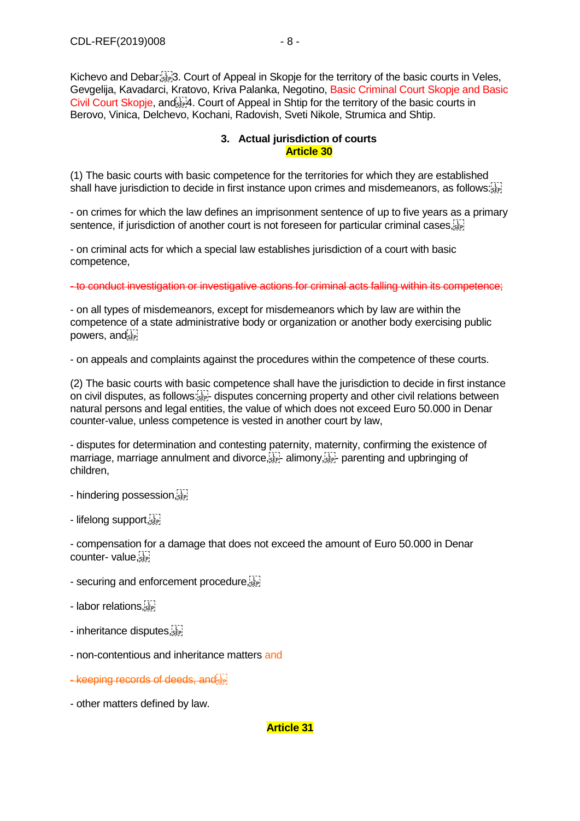Kichevo and Debar;<sup>[17</sup>]. Court of Appeal in Skopje for the territory of the basic courts in Veles, Gevgelija, Kavadarci, Kratovo, Kriva Palanka, Negotino, Basic Criminal Court Skopje and Basic Civil Court Skopje, and  $\overline{4}$ . Court of Appeal in Shtip for the territory of the basic courts in Berovo, Vinica, Delchevo, Kochani, Radovish, Sveti Nikole, Strumica and Shtip.

## **3. Actual jurisdiction of courts Article 30**

(1) The basic courts with basic competence for the territories for which they are established shall have jurisdiction to decide in first instance upon crimes and misdemeanors, as follows:

- on crimes for which the law defines an imprisonment sentence of up to five years as a primary sentence, if jurisdiction of another court is not foreseen for particular criminal cases,  $\overline{S_{\text{eff}}}$ 

- on criminal acts for which a special law establishes jurisdiction of a court with basic competence,

- to conduct investigation or investigative actions for criminal acts falling within its competence;

- on all types of misdemeanors, except for misdemeanors which by law are within the competence of a state administrative body or organization or another body exercising public powers, and see

- on appeals and complaints against the procedures within the competence of these courts.

(2) The basic courts with basic competence shall have the jurisdiction to decide in first instance on civil disputes, as follows:  $\mathbb{E}$ , disputes concerning property and other civil relations between natural persons and legal entities, the value of which does not exceed Euro 50.000 in Denar counter-value, unless competence is vested in another court by law,

- disputes for determination and contesting paternity, maternity, confirming the existence of marriage, marriage annulment and divorce,  $\sum_{s \in P_1^-}$  alimony,  $\sum_{s \in P_1^-}$  parenting and upbringing of children,

- hindering possession.<sup>117</sup>

- lifelong support,

- compensation for a damage that does not exceed the amount of Euro 50.000 in Denar counter- value,

- securing and enforcement procedure, see
- labor relations,
- inheritance disputes,  $\frac{1}{35}$
- non-contentious and inheritance matters and
- keeping records of deeds, and
- other matters defined by law.

## **Article 31**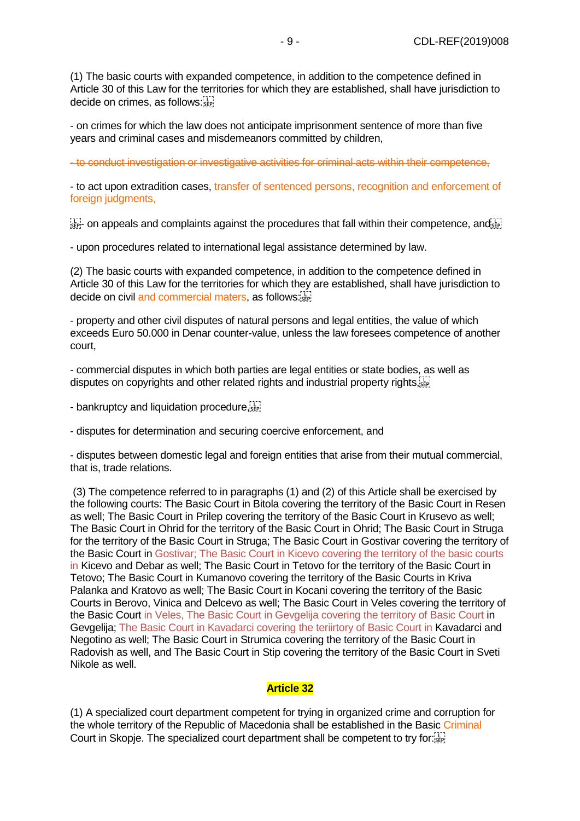(1) The basic courts with expanded competence, in addition to the competence defined in Article 30 of this Law for the territories for which they are established, shall have jurisdiction to decide on crimes, as follows:

- on crimes for which the law does not anticipate imprisonment sentence of more than five years and criminal cases and misdemeanors committed by children,

- to conduct investigation or investigative activities for criminal acts within their competence,

- to act upon extradition cases, transfer of sentenced persons, recognition and enforcement of foreign judgments,

 $\frac{1}{35}$  on appeals and complaints against the procedures that fall within their competence, and  $\frac{1}{35}$ 

- upon procedures related to international legal assistance determined by law.

(2) The basic courts with expanded competence, in addition to the competence defined in Article 30 of this Law for the territories for which they are established, shall have jurisdiction to decide on civil and commercial maters, as follows:

- property and other civil disputes of natural persons and legal entities, the value of which exceeds Euro 50.000 in Denar counter-value, unless the law foresees competence of another court,

- commercial disputes in which both parties are legal entities or state bodies, as well as disputes on copyrights and other related rights and industrial property rights,  $\overline{S_{\text{EP}}^{11}}$ 

- bankruptcy and liquidation procedure,

- disputes for determination and securing coercive enforcement, and

- disputes between domestic legal and foreign entities that arise from their mutual commercial, that is, trade relations.

(3) The competence referred to in paragraphs (1) and (2) of this Article shall be exercised by the following courts: The Basic Court in Bitola covering the territory of the Basic Court in Resen as well; The Basic Court in Prilep covering the territory of the Basic Court in Krusevo as well; The Basic Court in Ohrid for the territory of the Basic Court in Ohrid; The Basic Court in Struga for the territory of the Basic Court in Struga; The Basic Court in Gostivar covering the territory of the Basic Court in Gostivar; The Basic Court in Kicevo covering the territory of the basic courts in Kicevo and Debar as well; The Basic Court in Tetovo for the territory of the Basic Court in Tetovo; The Basic Court in Kumanovo covering the territory of the Basic Courts in Kriva Palanka and Kratovo as well; The Basic Court in Kocani covering the territory of the Basic Courts in Berovo, Vinica and Delcevo as well; The Basic Court in Veles covering the territory of the Basic Court in Veles, The Basic Court in Gevgelija covering the territory of Basic Court in Gevgelija; The Basic Court in Kavadarci covering the teriirtory of Basic Court in Kavadarci and Negotino as well; The Basic Court in Strumica covering the territory of the Basic Court in Radovish as well, and The Basic Court in Stip covering the territory of the Basic Court in Sveti Nikole as well.

#### **Article 32**

(1) A specialized court department competent for trying in organized crime and corruption for the whole territory of the Republic of Macedonia shall be established in the Basic Criminal Court in Skopje. The specialized court department shall be competent to try for: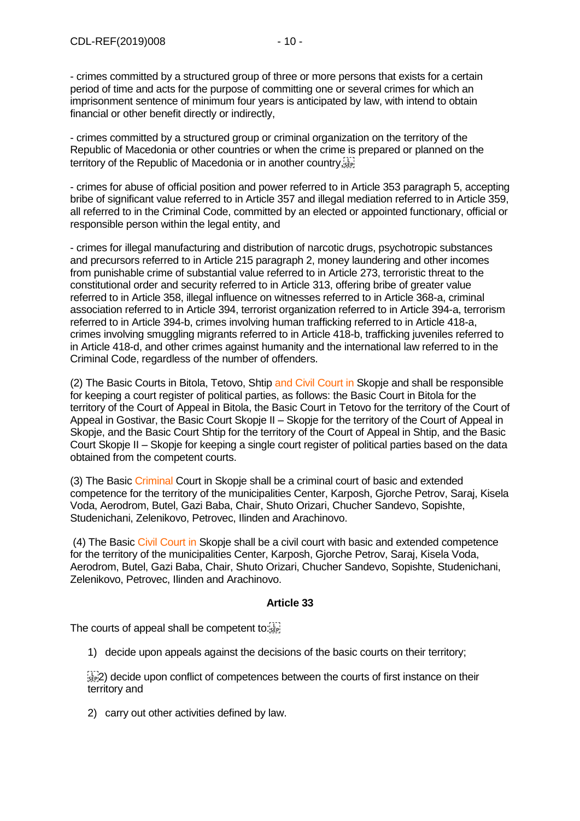- crimes committed by a structured group of three or more persons that exists for a certain period of time and acts for the purpose of committing one or several crimes for which an imprisonment sentence of minimum four years is anticipated by law, with intend to obtain financial or other benefit directly or indirectly,

- crimes committed by a structured group or criminal organization on the territory of the Republic of Macedonia or other countries or when the crime is prepared or planned on the territory of the Republic of Macedonia or in another country, step

- crimes for abuse of official position and power referred to in Article 353 paragraph 5, accepting bribe of significant value referred to in Article 357 and illegal mediation referred to in Article 359, all referred to in the Criminal Code, committed by an elected or appointed functionary, official or responsible person within the legal entity, and

- crimes for illegal manufacturing and distribution of narcotic drugs, psychotropic substances and precursors referred to in Article 215 paragraph 2, money laundering and other incomes from punishable crime of substantial value referred to in Article 273, terroristic threat to the constitutional order and security referred to in Article 313, offering bribe of greater value referred to in Article 358, illegal influence on witnesses referred to in Article 368-a, criminal association referred to in Article 394, terrorist organization referred to in Article 394-a, terrorism referred to in Article 394-b, crimes involving human trafficking referred to in Article 418-a, crimes involving smuggling migrants referred to in Article 418-b, trafficking juveniles referred to in Article 418-d, and other crimes against humanity and the international law referred to in the Criminal Code, regardless of the number of offenders.

(2) The Basic Courts in Bitola, Tetovo, Shtip and Civil Court in Skopje and shall be responsible for keeping a court register of political parties, as follows: the Basic Court in Bitola for the territory of the Court of Appeal in Bitola, the Basic Court in Tetovo for the territory of the Court of Appeal in Gostivar, the Basic Court Skopje II – Skopje for the territory of the Court of Appeal in Skopje, and the Basic Court Shtip for the territory of the Court of Appeal in Shtip, and the Basic Court Skopje II – Skopje for keeping a single court register of political parties based on the data obtained from the competent courts.

(3) The Basic Criminal Court in Skopje shall be a criminal court of basic and extended competence for the territory of the municipalities Center, Karposh, Gjorche Petrov, Saraj, Kisela Voda, Aerodrom, Butel, Gazi Baba, Chair, Shuto Orizari, Chucher Sandevo, Sopishte, Studenichani, Zelenikovo, Petrovec, Ilinden and Arachinovo.

(4) The Basic Civil Court in Skopje shall be a civil court with basic and extended competence for the territory of the municipalities Center, Karposh, Gjorche Petrov, Saraj, Kisela Voda, Aerodrom, Butel, Gazi Baba, Chair, Shuto Orizari, Chucher Sandevo, Sopishte, Studenichani, Zelenikovo, Petrovec, Ilinden and Arachinovo.

## **Article 33**

The courts of appeal shall be competent to:

1) decide upon appeals against the decisions of the basic courts on their territory;

 $\frac{1}{252}$ ) decide upon conflict of competences between the courts of first instance on their territory and

2) carry out other activities defined by law.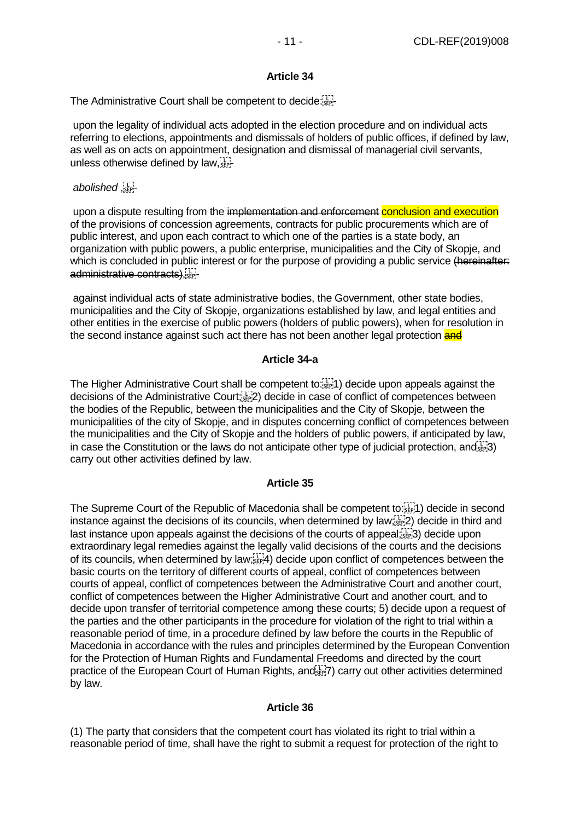# **Article 34**

The Administrative Court shall be competent to decide:

upon the legality of individual acts adopted in the election procedure and on individual acts referring to elections, appointments and dismissals of holders of public offices, if defined by law, as well as on acts on appointment, designation and dismissal of managerial civil servants, unless otherwise defined by  $law_{s_{\text{E}}}\left[\cdot\right]$ 

## *abolished* , -

upon a dispute resulting from the implementation and enforcement conclusion and execution of the provisions of concession agreements, contracts for public procurements which are of public interest, and upon each contract to which one of the parties is a state body, an organization with public powers, a public enterprise, municipalities and the City of Skopje, and which is concluded in public interest or for the purpose of providing a public service (hereinafter: administrative contracts)

against individual acts of state administrative bodies, the Government, other state bodies, municipalities and the City of Skopje, organizations established by law, and legal entities and other entities in the exercise of public powers (holders of public powers), when for resolution in the second instance against such act there has not been another legal protection and

## **Article 34-a**

The Higher Administrative Court shall be competent to:<sup>[17</sup>] decide upon appeals against the decisions of the Administrative Court; 2) decide in case of conflict of competences between the bodies of the Republic, between the municipalities and the City of Skopje, between the municipalities of the city of Skopje, and in disputes concerning conflict of competences between the municipalities and the City of Skopje and the holders of public powers, if anticipated by law, in case the Constitution or the laws do not anticipate other type of judicial protection, and  $\bar{1}$ carry out other activities defined by law.

## **Article 35**

The Supreme Court of the Republic of Macedonia shall be competent to:<sup>[17]</sup> decide in second instance against the decisions of its councils, when determined by law; 2) decide in third and last instance upon appeals against the decisions of the courts of appeal; $\binom{[1]}{2}$  decide upon extraordinary legal remedies against the legally valid decisions of the courts and the decisions of its councils, when determined by law; 4) decide upon conflict of competences between the basic courts on the territory of different courts of appeal, conflict of competences between courts of appeal, conflict of competences between the Administrative Court and another court, conflict of competences between the Higher Administrative Court and another court, and to decide upon transfer of territorial competence among these courts; 5) decide upon a request of the parties and the other participants in the procedure for violation of the right to trial within a reasonable period of time, in a procedure defined by law before the courts in the Republic of Macedonia in accordance with the rules and principles determined by the European Convention for the Protection of Human Rights and Fundamental Freedoms and directed by the court practice of the European Court of Human Rights, and Fig. 2) carry out other activities determined by law.

# **Article 36**

(1) The party that considers that the competent court has violated its right to trial within a reasonable period of time, shall have the right to submit a request for protection of the right to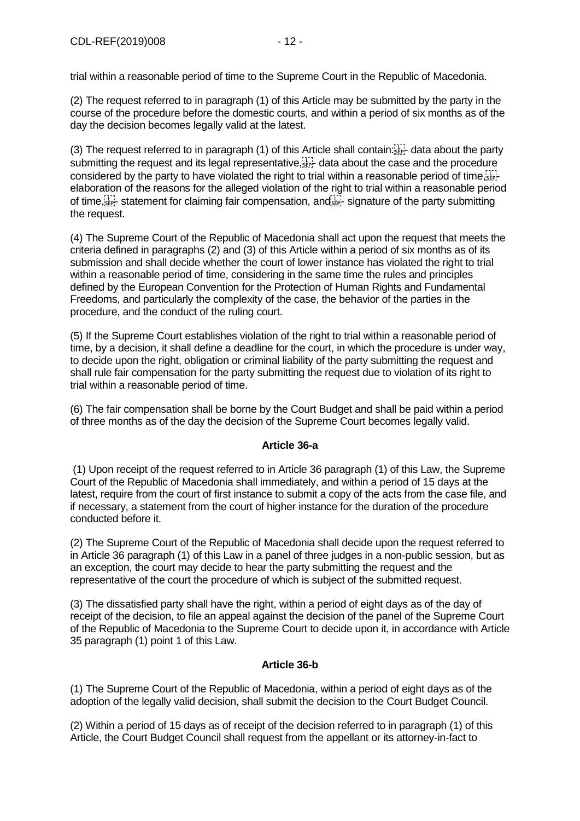trial within a reasonable period of time to the Supreme Court in the Republic of Macedonia.

(2) The request referred to in paragraph (1) of this Article may be submitted by the party in the course of the procedure before the domestic courts, and within a period of six months as of the day the decision becomes legally valid at the latest.

(3) The request referred to in paragraph (1) of this Article shall contain: sep- data about the party submitting the request and its legal representative,  $\prod_{i=1}^{n}$  data about the case and the procedure considered by the party to have violated the right to trial within a reasonable period of time,  $\sum_{s}$ elaboration of the reasons for the alleged violation of the right to trial within a reasonable period of time,  $\frac{1}{2}$  statement for claiming fair compensation, and  $\frac{1}{2}$  signature of the party submitting the request.

(4) The Supreme Court of the Republic of Macedonia shall act upon the request that meets the criteria defined in paragraphs (2) and (3) of this Article within a period of six months as of its submission and shall decide whether the court of lower instance has violated the right to trial within a reasonable period of time, considering in the same time the rules and principles defined by the European Convention for the Protection of Human Rights and Fundamental Freedoms, and particularly the complexity of the case, the behavior of the parties in the procedure, and the conduct of the ruling court.

(5) If the Supreme Court establishes violation of the right to trial within a reasonable period of time, by a decision, it shall define a deadline for the court, in which the procedure is under way, to decide upon the right, obligation or criminal liability of the party submitting the request and shall rule fair compensation for the party submitting the request due to violation of its right to trial within a reasonable period of time.

(6) The fair compensation shall be borne by the Court Budget and shall be paid within a period of three months as of the day the decision of the Supreme Court becomes legally valid.

## **Article 36-a**

(1) Upon receipt of the request referred to in Article 36 paragraph (1) of this Law, the Supreme Court of the Republic of Macedonia shall immediately, and within a period of 15 days at the latest, require from the court of first instance to submit a copy of the acts from the case file, and if necessary, a statement from the court of higher instance for the duration of the procedure conducted before it.

(2) The Supreme Court of the Republic of Macedonia shall decide upon the request referred to in Article 36 paragraph (1) of this Law in a panel of three judges in a non-public session, but as an exception, the court may decide to hear the party submitting the request and the representative of the court the procedure of which is subject of the submitted request.

(3) The dissatisfied party shall have the right, within a period of eight days as of the day of receipt of the decision, to file an appeal against the decision of the panel of the Supreme Court of the Republic of Macedonia to the Supreme Court to decide upon it, in accordance with Article 35 paragraph (1) point 1 of this Law.

## **Article 36-b**

(1) The Supreme Court of the Republic of Macedonia, within a period of eight days as of the adoption of the legally valid decision, shall submit the decision to the Court Budget Council.

(2) Within a period of 15 days as of receipt of the decision referred to in paragraph (1) of this Article, the Court Budget Council shall request from the appellant or its attorney-in-fact to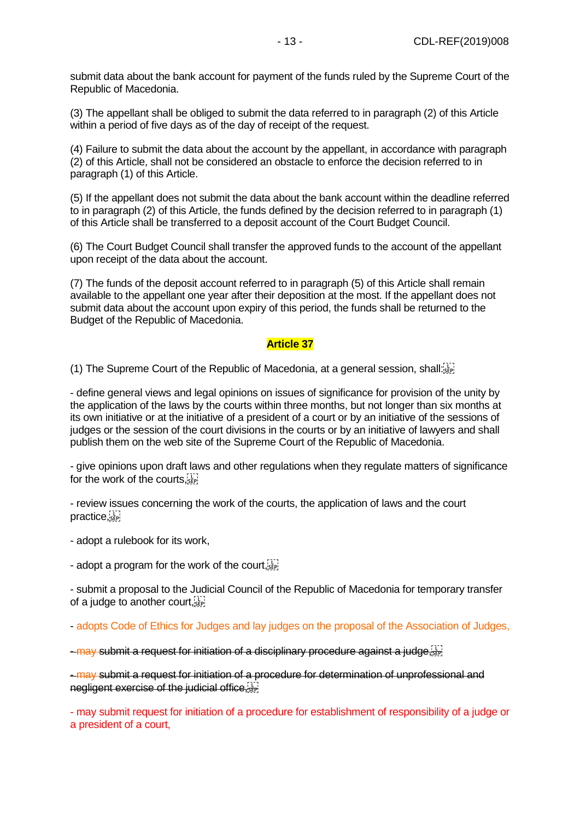submit data about the bank account for payment of the funds ruled by the Supreme Court of the Republic of Macedonia.

(3) The appellant shall be obliged to submit the data referred to in paragraph (2) of this Article within a period of five days as of the day of receipt of the request.

(4) Failure to submit the data about the account by the appellant, in accordance with paragraph (2) of this Article, shall not be considered an obstacle to enforce the decision referred to in paragraph (1) of this Article.

(5) If the appellant does not submit the data about the bank account within the deadline referred to in paragraph (2) of this Article, the funds defined by the decision referred to in paragraph (1) of this Article shall be transferred to a deposit account of the Court Budget Council.

(6) The Court Budget Council shall transfer the approved funds to the account of the appellant upon receipt of the data about the account.

(7) The funds of the deposit account referred to in paragraph (5) of this Article shall remain available to the appellant one year after their deposition at the most. If the appellant does not submit data about the account upon expiry of this period, the funds shall be returned to the Budget of the Republic of Macedonia.

#### **Article 37**

(1) The Supreme Court of the Republic of Macedonia, at a general session, shall:

- define general views and legal opinions on issues of significance for provision of the unity by the application of the laws by the courts within three months, but not longer than six months at its own initiative or at the initiative of a president of a court or by an initiative of the sessions of judges or the session of the court divisions in the courts or by an initiative of lawyers and shall publish them on the web site of the Supreme Court of the Republic of Macedonia.

- give opinions upon draft laws and other regulations when they regulate matters of significance for the work of the courts,

- review issues concerning the work of the courts, the application of laws and the court practice.

- adopt a rulebook for its work,

- adopt a program for the work of the court,  $\sum_{i=1}^{n}$ 

- submit a proposal to the Judicial Council of the Republic of Macedonia for temporary transfer of a judge to another court, see

- adopts Code of Ethics for Judges and lay judges on the proposal of the Association of Judges,

 $-$  may submit a request for initiation of a disciplinary procedure against a judge,  $\frac{17}{15}$ 

- may submit a request for initiation of a procedure for determination of unprofessional and negligent exercise of the judicial office,  $\frac{1}{2}$ 

- may submit request for initiation of a procedure for establishment of responsibility of a judge or a president of a court,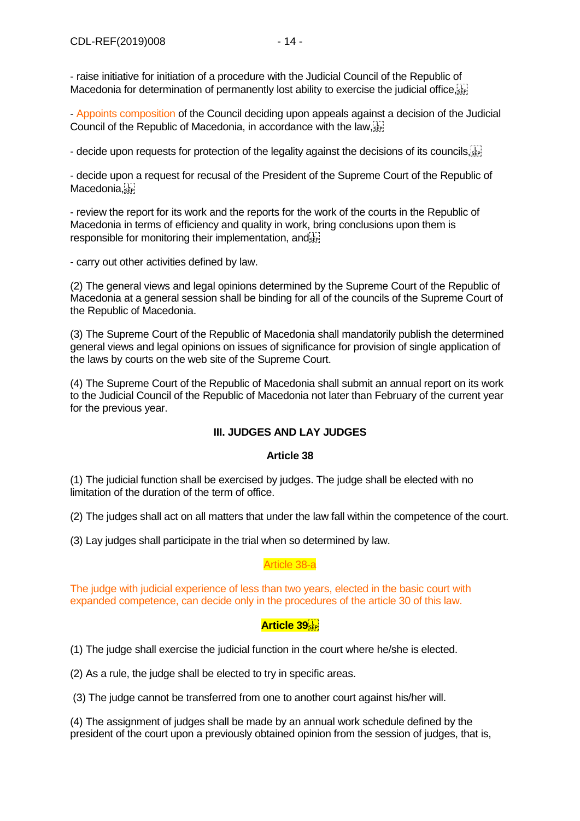- raise initiative for initiation of a procedure with the Judicial Council of the Republic of Macedonia for determination of permanently lost ability to exercise the judicial office

- Appoints composition of the Council deciding upon appeals against a decision of the Judicial Council of the Republic of Macedonia, in accordance with the law,

- decide upon requests for protection of the legality against the decisions of its councils,  $\sum_{i=1}^{n}$ 

- decide upon a request for recusal of the President of the Supreme Court of the Republic of Macedonia,

- review the report for its work and the reports for the work of the courts in the Republic of Macedonia in terms of efficiency and quality in work, bring conclusions upon them is responsible for monitoring their implementation, and

- carry out other activities defined by law.

(2) The general views and legal opinions determined by the Supreme Court of the Republic of Macedonia at a general session shall be binding for all of the councils of the Supreme Court of the Republic of Macedonia.

(3) The Supreme Court of the Republic of Macedonia shall mandatorily publish the determined general views and legal opinions on issues of significance for provision of single application of the laws by courts on the web site of the Supreme Court.

(4) The Supreme Court of the Republic of Macedonia shall submit an annual report on its work to the Judicial Council of the Republic of Macedonia not later than February of the current year for the previous year.

## **III. JUDGES AND LAY JUDGES**

#### **Article 38**

(1) The judicial function shall be exercised by judges. The judge shall be elected with no limitation of the duration of the term of office.

(2) The judges shall act on all matters that under the law fall within the competence of the court.

(3) Lay judges shall participate in the trial when so determined by law.

#### Article 38-a

The judge with judicial experience of less than two years, elected in the basic court with expanded competence, can decide only in the procedures of the article 30 of this law.

## **Article 39**

(1) The judge shall exercise the judicial function in the court where he/she is elected.

(2) As a rule, the judge shall be elected to try in specific areas.

(3) The judge cannot be transferred from one to another court against his/her will.

(4) The assignment of judges shall be made by an annual work schedule defined by the president of the court upon a previously obtained opinion from the session of judges, that is,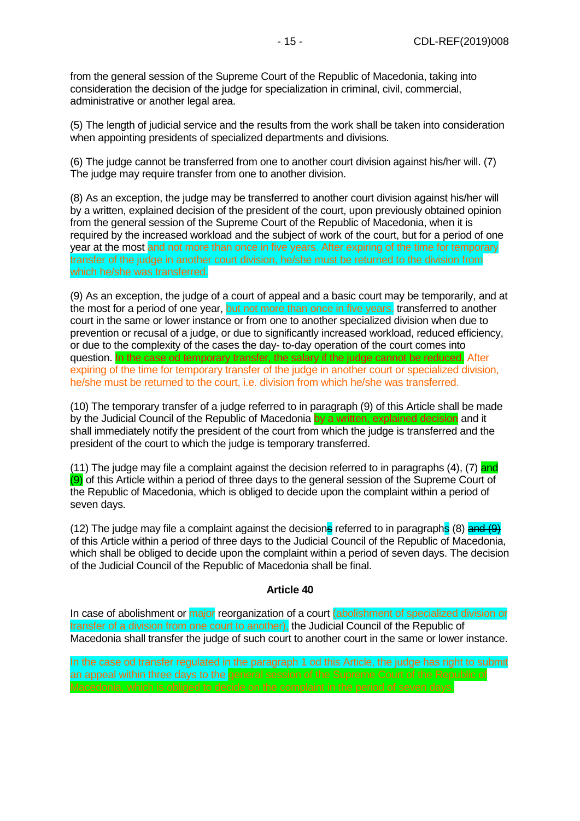from the general session of the Supreme Court of the Republic of Macedonia, taking into consideration the decision of the judge for specialization in criminal, civil, commercial, administrative or another legal area.

(5) The length of judicial service and the results from the work shall be taken into consideration when appointing presidents of specialized departments and divisions.

(6) The judge cannot be transferred from one to another court division against his/her will. (7) The judge may require transfer from one to another division.

(8) As an exception, the judge may be transferred to another court division against his/her will by a written, explained decision of the president of the court, upon previously obtained opinion from the general session of the Supreme Court of the Republic of Macedonia, when it is required by the increased workload and the subject of work of the court, but for a period of one year at the most and not more than once in five years. After expiring of the time for temporary transfer of the judge in another court division, he/she must be returned to the division from which he/she was transferred.

(9) As an exception, the judge of a court of appeal and a basic court may be temporarily, and at the most for a period of one year, but not more than once in five years. transferred to another court in the same or lower instance or from one to another specialized division when due to prevention or recusal of a judge, or due to significantly increased workload, reduced efficiency, or due to the complexity of the cases the day- to-day operation of the court comes into question. In the case od temporary transfer, the salary if the judge cannot be reduced. After expiring of the time for temporary transfer of the judge in another court or specialized division, he/she must be returned to the court, i.e. division from which he/she was transferred.

(10) The temporary transfer of a judge referred to in paragraph (9) of this Article shall be made by the Judicial Council of the Republic of Macedonia by a written, explained decision and it shall immediately notify the president of the court from which the judge is transferred and the president of the court to which the judge is temporary transferred.

(11) The judge may file a complaint against the decision referred to in paragraphs  $(4)$ ,  $(7)$  and (9) of this Article within a period of three days to the general session of the Supreme Court of the Republic of Macedonia, which is obliged to decide upon the complaint within a period of seven days.

(12) The judge may file a complaint against the decisions referred to in paragraphs (8) and (9) of this Article within a period of three days to the Judicial Council of the Republic of Macedonia, which shall be obliged to decide upon the complaint within a period of seven days. The decision of the Judicial Council of the Republic of Macedonia shall be final.

#### **Article 40**

In case of abolishment or major reorganization of a court (abolishment of specialized division or transfer of a division from one court to another), the Judicial Council of the Republic of Macedonia shall transfer the judge of such court to another court in the same or lower instance.

In the case od transfer regulated in the paragraph 1 od this Article, the judge has right to submit an appeal within three days to the general session of the Supreme Court of the Republic of Macedonia, which is obliged to decide on the complaint in the period of seven days.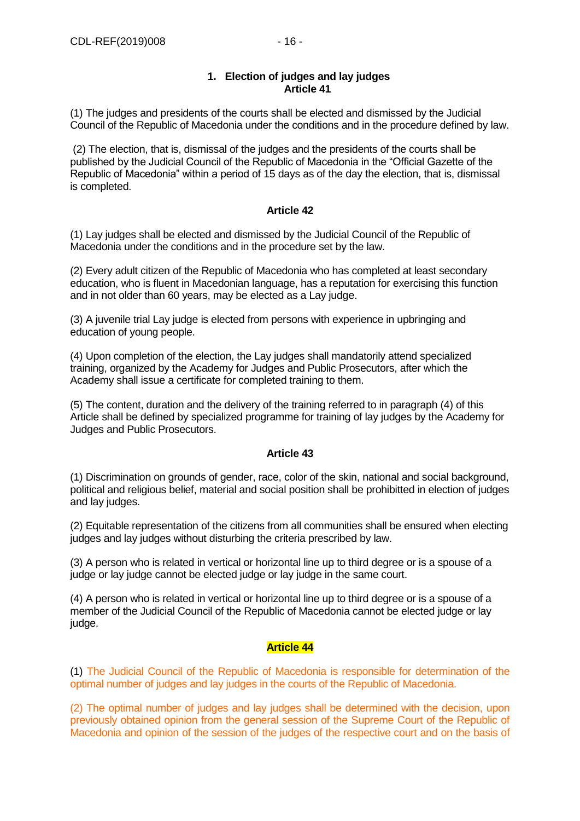## **1. Election of judges and lay judges Article 41**

(1) The judges and presidents of the courts shall be elected and dismissed by the Judicial Council of the Republic of Macedonia under the conditions and in the procedure defined by law.

(2) The election, that is, dismissal of the judges and the presidents of the courts shall be published by the Judicial Council of the Republic of Macedonia in the "Official Gazette of the Republic of Macedonia" within a period of 15 days as of the day the election, that is, dismissal is completed.

## **Article 42**

(1) Lay judges shall be elected and dismissed by the Judicial Council of the Republic of Macedonia under the conditions and in the procedure set by the law.

(2) Every adult citizen of the Republic of Macedonia who has completed at least secondary education, who is fluent in Macedonian language, has a reputation for exercising this function and in not older than 60 years, may be elected as a Lay judge.

(3) A juvenile trial Lay judge is elected from persons with experience in upbringing and education of young people.

(4) Upon completion of the election, the Lay judges shall mandatorily attend specialized training, organized by the Academy for Judges and Public Prosecutors, after which the Academy shall issue a certificate for completed training to them.

(5) The content, duration and the delivery of the training referred to in paragraph (4) of this Article shall be defined by specialized programme for training of lay judges by the Academy for Judges and Public Prosecutors.

## **Article 43**

(1) Discrimination on grounds of gender, race, color of the skin, national and social background, political and religious belief, material and social position shall be prohibitted in election of judges and lay judges.

(2) Equitable representation of the citizens from all communities shall be ensured when electing judges and lay judges without disturbing the criteria prescribed by law.

(3) A person who is related in vertical or horizontal line up to third degree or is a spouse of a judge or lay judge cannot be elected judge or lay judge in the same court.

(4) A person who is related in vertical or horizontal line up to third degree or is a spouse of a member of the Judicial Council of the Republic of Macedonia cannot be elected judge or lay judge.

## **Article 44**

(1) The Judicial Council of the Republic of Macedonia is responsible for determination of the optimal number of judges and lay judges in the courts of the Republic of Macedonia.

(2) The optimal number of judges and lay judges shall be determined with the decision, upon previously obtained opinion from the general session of the Supreme Court of the Republic of Macedonia and opinion of the session of the judges of the respective court and on the basis of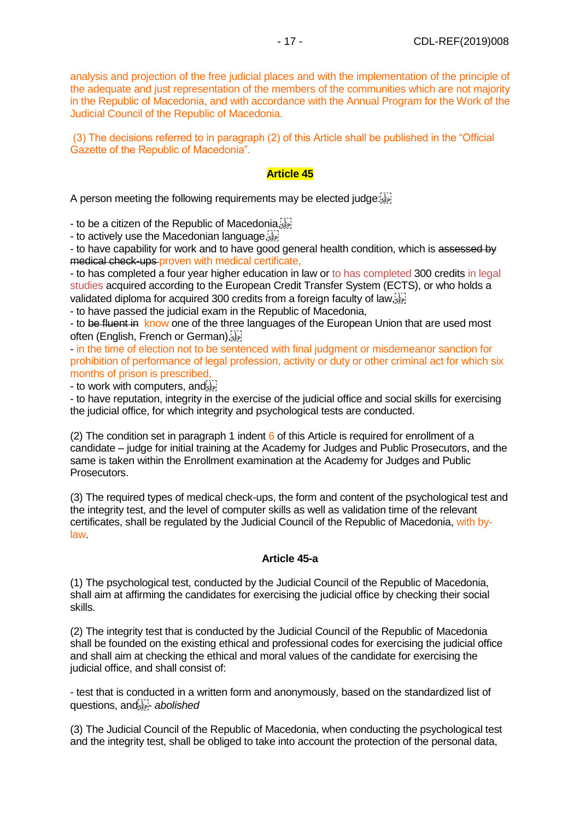analysis and projection of the free judicial places and with the implementation of the principle of the adequate and just representation of the members of the communities which are not majority in the Republic of Macedonia, and with accordance with the Annual Program for the Work of the Judicial Council of the Republic of Macedonia.

(3) The decisions referred to in paragraph (2) of this Article shall be published in the "Official Gazette of the Republic of Macedonia".

#### **Article 45**

A person meeting the following requirements may be elected judge:

- to be a citizen of the Republic of Macedonia, see

- to actively use the Macedonian language, stri

- to have capability for work and to have good general health condition, which is assessed by medical check-ups proven with medical certificate,

- to has completed a four year higher education in law or to has completed 300 credits in legal studies acquired according to the European Credit Transfer System (ECTS), or who holds a validated diploma for acquired 300 credits from a foreign faculty of law, see

- to have passed the judicial exam in the Republic of Macedonia,

- to be fluent in know one of the three languages of the European Union that are used most often (English, French or German),

- in the time of election not to be sentenced with final judgment or misdemeanor sanction for prohibition of performance of legal profession, activity or duty or other criminal act for which six months of prison is prescribed,

- to work with computers, and step!

- to have reputation, integrity in the exercise of the judicial office and social skills for exercising the judicial office, for which integrity and psychological tests are conducted.

(2) The condition set in paragraph 1 indent  $6$  of this Article is required for enrollment of a candidate – judge for initial training at the Academy for Judges and Public Prosecutors, and the same is taken within the Enrollment examination at the Academy for Judges and Public Prosecutors.

(3) The required types of medical check-ups, the form and content of the psychological test and the integrity test, and the level of computer skills as well as validation time of the relevant certificates, shall be regulated by the Judicial Council of the Republic of Macedonia, with bylaw.

#### **Article 45-a**

(1) The psychological test, conducted by the Judicial Council of the Republic of Macedonia, shall aim at affirming the candidates for exercising the judicial office by checking their social skills.

(2) The integrity test that is conducted by the Judicial Council of the Republic of Macedonia shall be founded on the existing ethical and professional codes for exercising the judicial office and shall aim at checking the ethical and moral values of the candidate for exercising the judicial office, and shall consist of:

- test that is conducted in a written form and anonymously, based on the standardized list of questions, and<sup>[17]</sup> abolished

(3) The Judicial Council of the Republic of Macedonia, when conducting the psychological test and the integrity test, shall be obliged to take into account the protection of the personal data,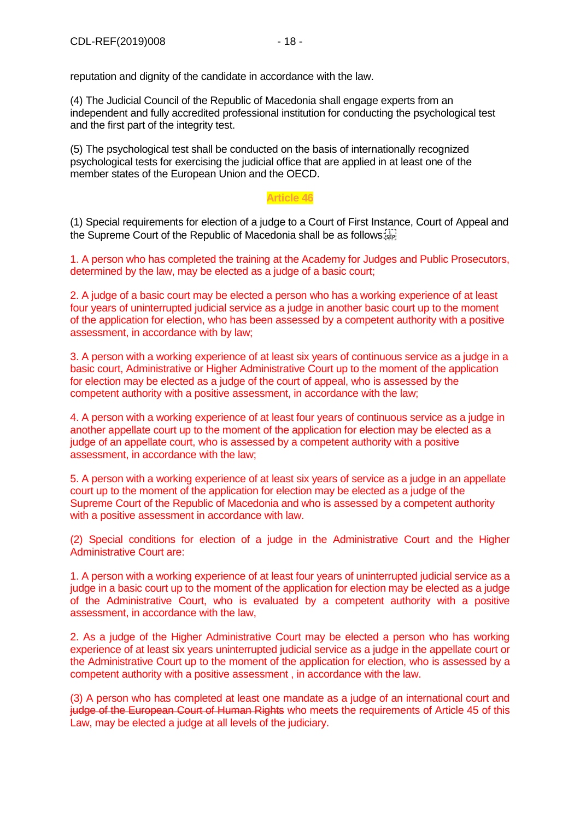reputation and dignity of the candidate in accordance with the law.

(4) The Judicial Council of the Republic of Macedonia shall engage experts from an independent and fully accredited professional institution for conducting the psychological test and the first part of the integrity test.

(5) The psychological test shall be conducted on the basis of internationally recognized psychological tests for exercising the judicial office that are applied in at least one of the member states of the European Union and the OECD.

#### **Article 46**

(1) Special requirements for election of a judge to a Court of First Instance, Court of Appeal and the Supreme Court of the Republic of Macedonia shall be as follows:

1. A person who has completed the training at the Academy for Judges and Public Prosecutors, determined by the law, may be elected as a judge of a basic court;

2. A judge of a basic court may be elected a person who has a working experience of at least four years of uninterrupted judicial service as a judge in another basic court up to the moment of the application for election, who has been assessed by a competent authority with a positive assessment, in accordance with by law;

3. A person with a working experience of at least six years of continuous service as a judge in a basic court, Administrative or Higher Administrative Court up to the moment of the application for election may be elected as a judge of the court of appeal, who is assessed by the competent authority with a positive assessment, in accordance with the law;

4. A person with a working experience of at least four years of continuous service as a judge in another appellate court up to the moment of the application for election may be elected as a judge of an appellate court, who is assessed by a competent authority with a positive assessment, in accordance with the law;

5. A person with a working experience of at least six years of service as a judge in an appellate court up to the moment of the application for election may be elected as a judge of the Supreme Court of the Republic of Macedonia and who is assessed by a competent authority with a positive assessment in accordance with law.

(2) Special conditions for election of a judge in the Administrative Court and the Higher Administrative Court are:

1. A person with a working experience of at least four years of uninterrupted judicial service as a judge in a basic court up to the moment of the application for election may be elected as a judge of the Administrative Court, who is evaluated by a competent authority with a positive assessment, in accordance with the law,

2. As a judge of the Higher Administrative Court may be elected a person who has working experience of at least six years uninterrupted judicial service as a judge in the appellate court or the Administrative Court up to the moment of the application for election, who is assessed by a competent authority with a positive assessment , in accordance with the law.

(3) A person who has completed at least one mandate as a judge of an international court and judge of the European Court of Human Rights who meets the requirements of Article 45 of this Law, may be elected a judge at all levels of the judiciary.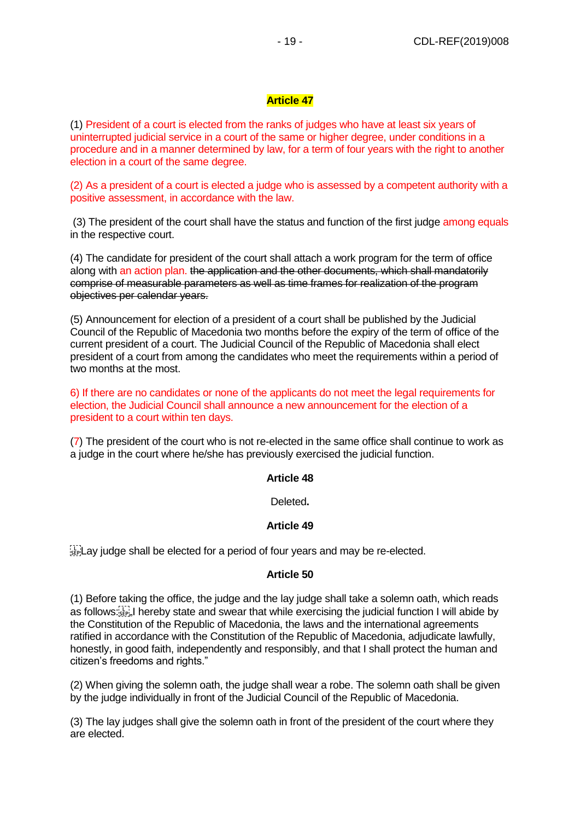# **Article 47**

(1) President of a court is elected from the ranks of judges who have at least six years of uninterrupted judicial service in a court of the same or higher degree, under conditions in a procedure and in a manner determined by law, for a term of four years with the right to another election in a court of the same degree.

(2) As a president of a court is elected a judge who is assessed by a competent authority with a positive assessment, in accordance with the law.

(3) The president of the court shall have the status and function of the first judge among equals in the respective court.

(4) The candidate for president of the court shall attach a work program for the term of office along with an action plan. the application and the other documents, which shall mandatorily comprise of measurable parameters as well as time frames for realization of the program objectives per calendar years.

(5) Announcement for election of a president of a court shall be published by the Judicial Council of the Republic of Macedonia two months before the expiry of the term of office of the current president of a court. The Judicial Council of the Republic of Macedonia shall elect president of a court from among the candidates who meet the requirements within a period of two months at the most.

6) If there are no candidates or none of the applicants do not meet the legal requirements for election, the Judicial Council shall announce a new announcement for the election of a president to a court within ten days.

(7) The president of the court who is not re-elected in the same office shall continue to work as a judge in the court where he/she has previously exercised the judicial function.

## **Article 48**

Deleted**.**

## **Article 49**

 $\frac{1}{35}$  Lay judge shall be elected for a period of four years and may be re-elected.

## **Article 50**

(1) Before taking the office, the judge and the lay judge shall take a solemn oath, which reads as follows: Fig. I hereby state and swear that while exercising the judicial function I will abide by the Constitution of the Republic of Macedonia, the laws and the international agreements ratified in accordance with the Constitution of the Republic of Macedonia, adjudicate lawfully, honestly, in good faith, independently and responsibly, and that I shall protect the human and citizen's freedoms and rights."

(2) When giving the solemn oath, the judge shall wear a robe. The solemn oath shall be given by the judge individually in front of the Judicial Council of the Republic of Macedonia.

(3) The lay judges shall give the solemn oath in front of the president of the court where they are elected.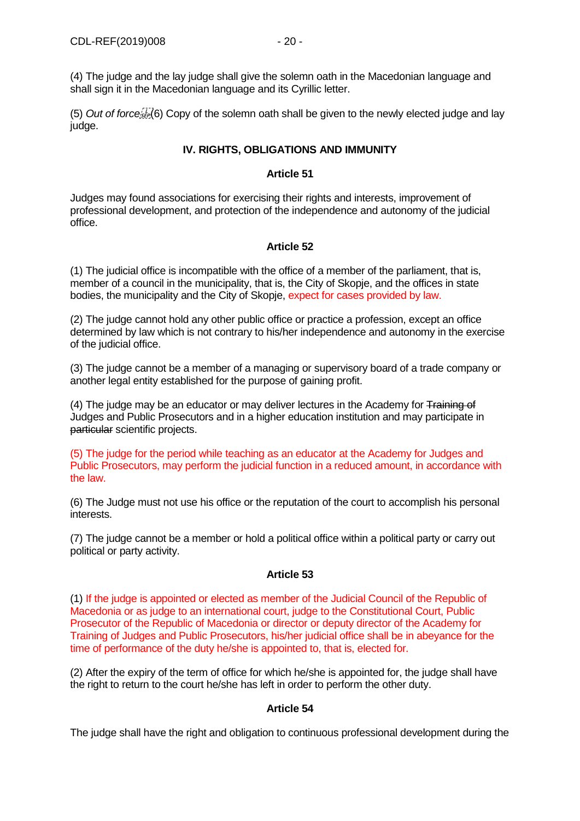(4) The judge and the lay judge shall give the solemn oath in the Macedonian language and shall sign it in the Macedonian language and its Cyrillic letter.

(5) *Out of force* (6) Copy of the solemn oath shall be given to the newly elected judge and lay judge.

## **IV. RIGHTS, OBLIGATIONS AND IMMUNITY**

## **Article 51**

Judges may found associations for exercising their rights and interests, improvement of professional development, and protection of the independence and autonomy of the judicial office.

# **Article 52**

(1) The judicial office is incompatible with the office of a member of the parliament, that is, member of a council in the municipality, that is, the City of Skopje, and the offices in state bodies, the municipality and the City of Skopje, expect for cases provided by law.

(2) The judge cannot hold any other public office or practice a profession, except an office determined by law which is not contrary to his/her independence and autonomy in the exercise of the judicial office.

(3) The judge cannot be a member of a managing or supervisory board of a trade company or another legal entity established for the purpose of gaining profit.

(4) The judge may be an educator or may deliver lectures in the Academy for Training of Judges and Public Prosecutors and in a higher education institution and may participate in particular scientific projects.

(5) The judge for the period while teaching as an educator at the Academy for Judges and Public Prosecutors, may perform the judicial function in a reduced amount, in accordance with the law.

(6) The Judge must not use his office or the reputation of the court to accomplish his personal interests.

(7) The judge cannot be a member or hold a political office within a political party or carry out political or party activity.

## **Article 53**

(1) If the judge is appointed or elected as member of the Judicial Council of the Republic of Macedonia or as judge to an international court, judge to the Constitutional Court, Public Prosecutor of the Republic of Macedonia or director or deputy director of the Academy for Training of Judges and Public Prosecutors, his/her judicial office shall be in abeyance for the time of performance of the duty he/she is appointed to, that is, elected for.

(2) After the expiry of the term of office for which he/she is appointed for, the judge shall have the right to return to the court he/she has left in order to perform the other duty.

## **Article 54**

The judge shall have the right and obligation to continuous professional development during the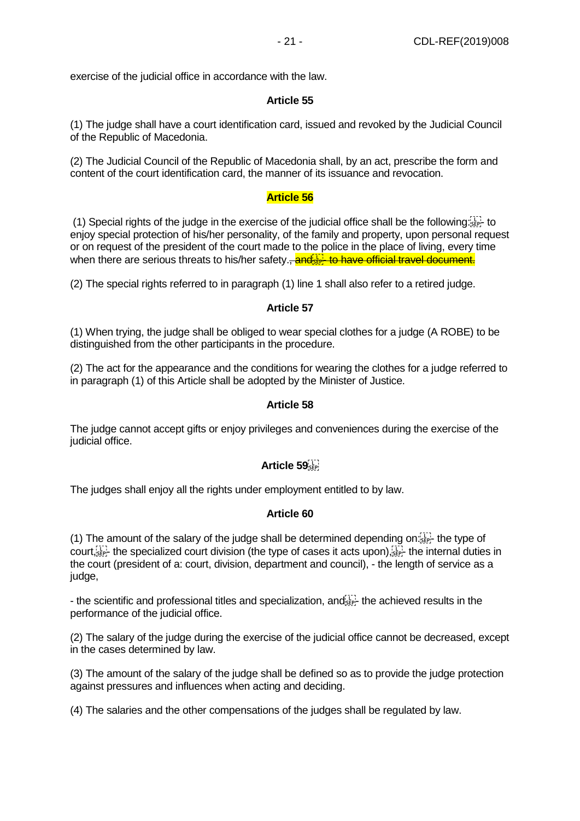exercise of the judicial office in accordance with the law.

#### **Article 55**

(1) The judge shall have a court identification card, issued and revoked by the Judicial Council of the Republic of Macedonia.

(2) The Judicial Council of the Republic of Macedonia shall, by an act, prescribe the form and content of the court identification card, the manner of its issuance and revocation.

#### **Article 56**

(1) Special rights of the judge in the exercise of the judicial office shall be the following.  $\frac{1}{15}$  to enjoy special protection of his/her personality, of the family and property, upon personal request or on request of the president of the court made to the police in the place of living, every time when there are serious threats to his/her safety. and  $\frac{1}{2}$  to have official travel document.

(2) The special rights referred to in paragraph (1) line 1 shall also refer to a retired judge.

#### **Article 57**

(1) When trying, the judge shall be obliged to wear special clothes for a judge (A ROBE) to be distinguished from the other participants in the procedure.

(2) The act for the appearance and the conditions for wearing the clothes for a judge referred to in paragraph (1) of this Article shall be adopted by the Minister of Justice.

#### **Article 58**

The judge cannot accept gifts or enjoy privileges and conveniences during the exercise of the judicial office.

## **Article 59**

The judges shall enjoy all the rights under employment entitled to by law.

#### **Article 60**

(1) The amount of the salary of the judge shall be determined depending on: $\frac{1}{3}$ ; the type of court,  $\frac{1}{2}$  the specialized court division (the type of cases it acts upon),  $\frac{1}{2}$  the internal duties in the court (president of a: court, division, department and council), - the length of service as a judge,

- the scientific and professional titles and specialization, and see the achieved results in the performance of the judicial office.

(2) The salary of the judge during the exercise of the judicial office cannot be decreased, except in the cases determined by law.

(3) The amount of the salary of the judge shall be defined so as to provide the judge protection against pressures and influences when acting and deciding.

(4) The salaries and the other compensations of the judges shall be regulated by law.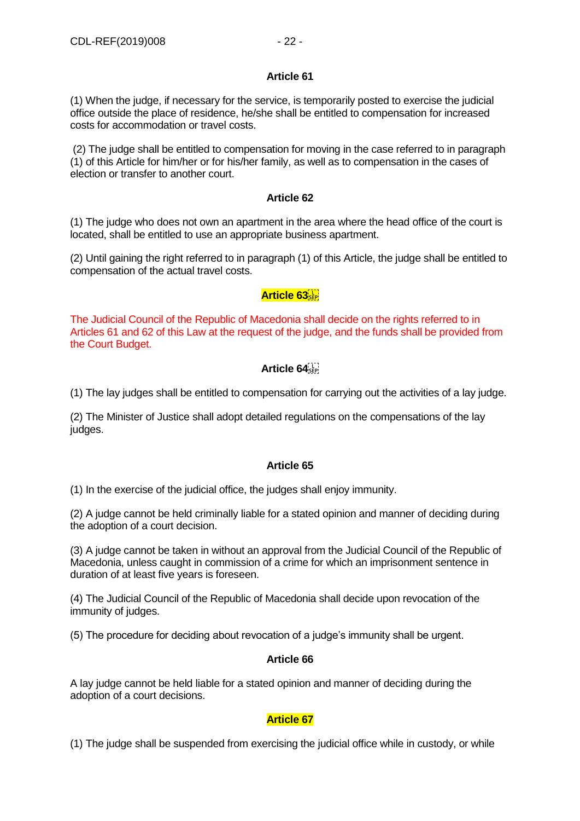#### **Article 61**

(1) When the judge, if necessary for the service, is temporarily posted to exercise the judicial office outside the place of residence, he/she shall be entitled to compensation for increased costs for accommodation or travel costs.

(2) The judge shall be entitled to compensation for moving in the case referred to in paragraph (1) of this Article for him/her or for his/her family, as well as to compensation in the cases of election or transfer to another court.

## **Article 62**

(1) The judge who does not own an apartment in the area where the head office of the court is located, shall be entitled to use an appropriate business apartment.

(2) Until gaining the right referred to in paragraph (1) of this Article, the judge shall be entitled to compensation of the actual travel costs.

# **Article 63**

The Judicial Council of the Republic of Macedonia shall decide on the rights referred to in Articles 61 and 62 of this Law at the request of the judge, and the funds shall be provided from the Court Budget.

# **Article 64**

(1) The lay judges shall be entitled to compensation for carrying out the activities of a lay judge.

(2) The Minister of Justice shall adopt detailed regulations on the compensations of the lay judges.

## **Article 65**

(1) In the exercise of the judicial office, the judges shall enjoy immunity.

(2) A judge cannot be held criminally liable for a stated opinion and manner of deciding during the adoption of a court decision.

(3) A judge cannot be taken in without an approval from the Judicial Council of the Republic of Macedonia, unless caught in commission of a crime for which an imprisonment sentence in duration of at least five years is foreseen.

(4) The Judicial Council of the Republic of Macedonia shall decide upon revocation of the immunity of judges.

(5) The procedure for deciding about revocation of a judge's immunity shall be urgent.

## **Article 66**

A lay judge cannot be held liable for a stated opinion and manner of deciding during the adoption of a court decisions.

# **Article 67**

(1) The judge shall be suspended from exercising the judicial office while in custody, or while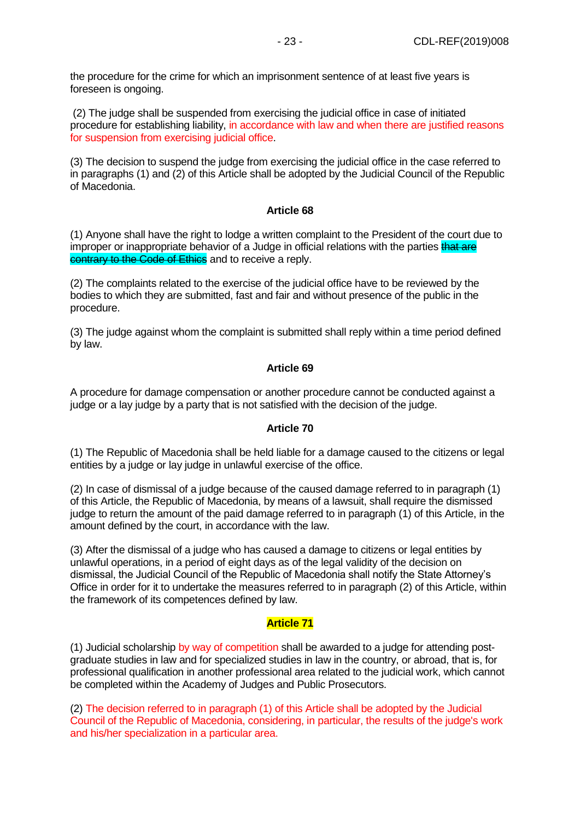the procedure for the crime for which an imprisonment sentence of at least five years is foreseen is ongoing.

(2) The judge shall be suspended from exercising the judicial office in case of initiated procedure for establishing liability, in accordance with law and when there are justified reasons for suspension from exercising judicial office.

(3) The decision to suspend the judge from exercising the judicial office in the case referred to in paragraphs (1) and (2) of this Article shall be adopted by the Judicial Council of the Republic of Macedonia.

#### **Article 68**

(1) Anyone shall have the right to lodge a written complaint to the President of the court due to improper or inappropriate behavior of a Judge in official relations with the parties that are contrary to the Code of Ethics and to receive a reply.

(2) The complaints related to the exercise of the judicial office have to be reviewed by the bodies to which they are submitted, fast and fair and without presence of the public in the procedure.

(3) The judge against whom the complaint is submitted shall reply within a time period defined by law.

#### **Article 69**

A procedure for damage compensation or another procedure cannot be conducted against a judge or a lay judge by a party that is not satisfied with the decision of the judge.

#### **Article 70**

(1) The Republic of Macedonia shall be held liable for a damage caused to the citizens or legal entities by a judge or lay judge in unlawful exercise of the office.

(2) In case of dismissal of a judge because of the caused damage referred to in paragraph (1) of this Article, the Republic of Macedonia, by means of a lawsuit, shall require the dismissed judge to return the amount of the paid damage referred to in paragraph (1) of this Article, in the amount defined by the court, in accordance with the law.

(3) After the dismissal of a judge who has caused a damage to citizens or legal entities by unlawful operations, in a period of eight days as of the legal validity of the decision on dismissal, the Judicial Council of the Republic of Macedonia shall notify the State Attorney's Office in order for it to undertake the measures referred to in paragraph (2) of this Article, within the framework of its competences defined by law.

#### **Article 71**

(1) Judicial scholarship by way of competition shall be awarded to a judge for attending postgraduate studies in law and for specialized studies in law in the country, or abroad, that is, for professional qualification in another professional area related to the judicial work, which cannot be completed within the Academy of Judges and Public Prosecutors.

(2) The decision referred to in paragraph (1) of this Article shall be adopted by the Judicial Council of the Republic of Macedonia, considering, in particular, the results of the judge's work and his/her specialization in a particular area.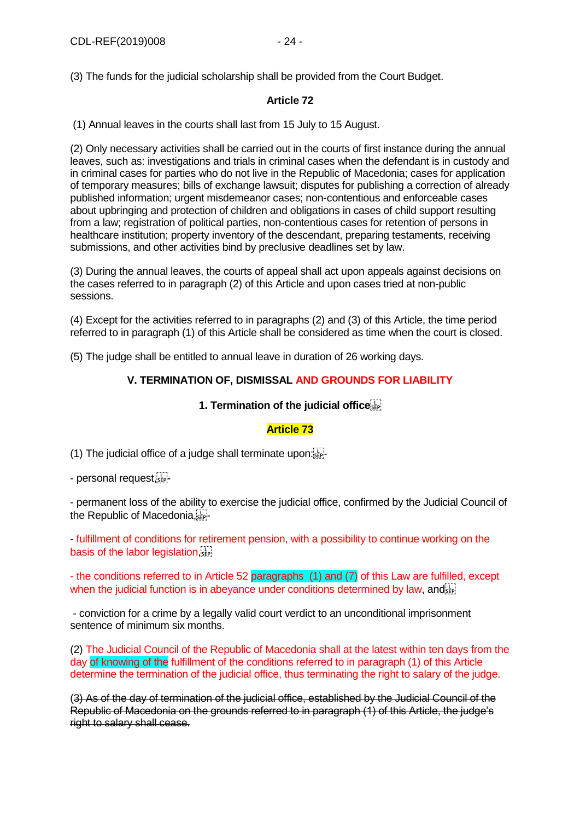(3) The funds for the judicial scholarship shall be provided from the Court Budget.

# **Article 72**

(1) Annual leaves in the courts shall last from 15 July to 15 August.

(2) Only necessary activities shall be carried out in the courts of first instance during the annual leaves, such as: investigations and trials in criminal cases when the defendant is in custody and in criminal cases for parties who do not live in the Republic of Macedonia; cases for application of temporary measures; bills of exchange lawsuit; disputes for publishing a correction of already published information; urgent misdemeanor cases; non-contentious and enforceable cases about upbringing and protection of children and obligations in cases of child support resulting from a law; registration of political parties, non-contentious cases for retention of persons in healthcare institution; property inventory of the descendant, preparing testaments, receiving submissions, and other activities bind by preclusive deadlines set by law.

(3) During the annual leaves, the courts of appeal shall act upon appeals against decisions on the cases referred to in paragraph (2) of this Article and upon cases tried at non-public sessions.

(4) Except for the activities referred to in paragraphs (2) and (3) of this Article, the time period referred to in paragraph (1) of this Article shall be considered as time when the court is closed.

(5) The judge shall be entitled to annual leave in duration of 26 working days.

# **V. TERMINATION OF, DISMISSAL AND GROUNDS FOR LIABILITY**

#### **1. Termination of the judicial office**

## **Article 73**

(1) The judicial office of a judge shall terminate upon.

- personal request, see-

- permanent loss of the ability to exercise the judicial office, confirmed by the Judicial Council of the Republic of Macedonia

- fulfillment of conditions for retirement pension, with a possibility to continue working on the basis of the labor legislation

- the conditions referred to in Article 52 paragraphs (1) and (7) of this Law are fulfilled, except when the judicial function is in abeyance under conditions determined by law, and

- conviction for a crime by a legally valid court verdict to an unconditional imprisonment sentence of minimum six months.

(2) The Judicial Council of the Republic of Macedonia shall at the latest within ten days from the day of knowing of the fulfillment of the conditions referred to in paragraph (1) of this Article determine the termination of the judicial office, thus terminating the right to salary of the judge.

(3) As of the day of termination of the judicial office, established by the Judicial Council of the Republic of Macedonia on the grounds referred to in paragraph (1) of this Article, the judge's right to salary shall cease.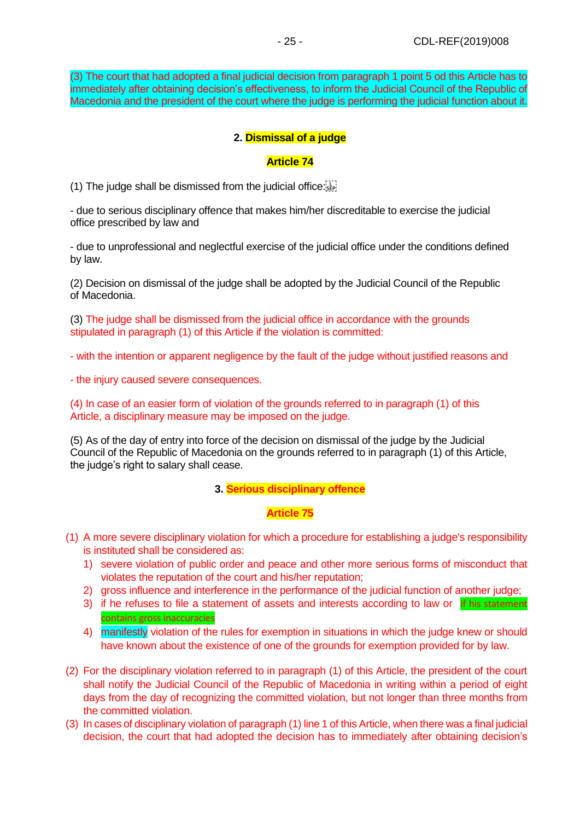(3) The court that had adopted a final judicial decision from paragraph 1 point 5 od this Article has to immediately after obtaining decision's effectiveness, to inform the Judicial Council of the Republic of Macedonia and the president of the court where the judge is performing the judicial function about it.

# **2. Dismissal of a judge**

#### **Article 74**

(1) The judge shall be dismissed from the judicial office: $\overline{S_{\text{SPP}}^{\text{t}}}$ 

- due to serious disciplinary offence that makes him/her discreditable to exercise the judicial office prescribed by law and

- due to unprofessional and neglectful exercise of the judicial office under the conditions defined by law.

(2) Decision on dismissal of the judge shall be adopted by the Judicial Council of the Republic of Macedonia.

(3) The judge shall be dismissed from the judicial office in accordance with the grounds stipulated in paragraph (1) of this Article if the violation is committed:

- with the intention or apparent negligence by the fault of the judge without justified reasons and

- the injury caused severe consequences.

(4) In case of an easier form of violation of the grounds referred to in paragraph (1) of this Article, a disciplinary measure may be imposed on the judge.

(5) As of the day of entry into force of the decision on dismissal of the judge by the Judicial Council of the Republic of Macedonia on the grounds referred to in paragraph (1) of this Article, the judge's right to salary shall cease.

#### **3. Serious disciplinary offence**

#### **Article 75**

- (1) A more severe disciplinary violation for which a procedure for establishing a judge's responsibility is instituted shall be considered as:
	- 1) severe violation of public order and peace and other more serious forms of misconduct that violates the reputation of the court and his/her reputation;
	- 2) gross influence and interference in the performance of the judicial function of another judge;
	- 3) if he refuses to file a statement of assets and interests according to law or if his statement contains gross inaccuracies
	- 4) manifestly violation of the rules for exemption in situations in which the judge knew or should have known about the existence of one of the grounds for exemption provided for by law.
- (2) For the disciplinary violation referred to in paragraph (1) of this Article, the president of the court shall notify the Judicial Council of the Republic of Macedonia in writing within a period of eight days from the day of recognizing the committed violation, but not longer than three months from the committed violation.
- (3) In cases of disciplinary violation of paragraph (1) line 1 of this Article, when there was a final judicial decision, the court that had adopted the decision has to immediately after obtaining decision's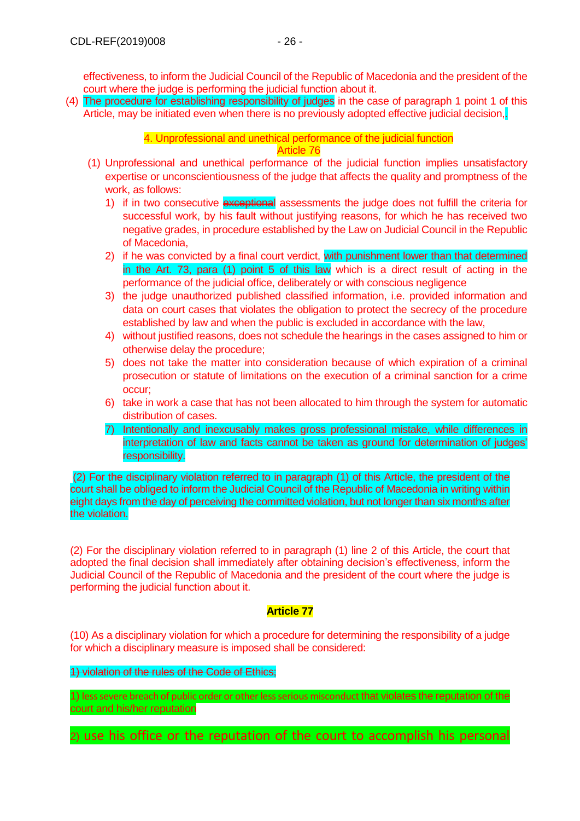effectiveness, to inform the Judicial Council of the Republic of Macedonia and the president of the court where the judge is performing the judicial function about it.

(4) The procedure for establishing responsibility of judges in the case of paragraph 1 point 1 of this Article, may be initiated even when there is no previously adopted effective judicial decision,.

> 4. Unprofessional and unethical performance of the judicial function Article 76

- (1) Unprofessional and unethical performance of the judicial function implies unsatisfactory expertise or unconscientiousness of the judge that affects the quality and promptness of the work, as follows:
	- 1) if in two consecutive exceptional assessments the judge does not fulfill the criteria for successful work, by his fault without justifying reasons, for which he has received two negative grades, in procedure established by the Law on Judicial Council in the Republic of Macedonia,
	- 2) if he was convicted by a final court verdict, with punishment lower than that determined in the Art. 73, para (1) point 5 of this law which is a direct result of acting in the performance of the judicial office, deliberately or with conscious negligence
	- 3) the judge unauthorized published classified information, i.e. provided information and data on court cases that violates the obligation to protect the secrecy of the procedure established by law and when the public is excluded in accordance with the law,
	- 4) without justified reasons, does not schedule the hearings in the cases assigned to him or otherwise delay the procedure;
	- 5) does not take the matter into consideration because of which expiration of a criminal prosecution or statute of limitations on the execution of a criminal sanction for a crime occur;
	- 6) take in work a case that has not been allocated to him through the system for automatic distribution of cases.
	- 7) Intentionally and inexcusably makes gross professional mistake, while differences in interpretation of law and facts cannot be taken as ground for determination of judges' responsibility.

(2) For the disciplinary violation referred to in paragraph (1) of this Article, the president of the court shall be obliged to inform the Judicial Council of the Republic of Macedonia in writing within eight days from the day of perceiving the committed violation, but not longer than six months after the violation.

(2) For the disciplinary violation referred to in paragraph (1) line 2 of this Article, the court that adopted the final decision shall immediately after obtaining decision's effectiveness, inform the Judicial Council of the Republic of Macedonia and the president of the court where the judge is performing the judicial function about it.

# **Article 77**

(10) As a disciplinary violation for which a procedure for determining the responsibility of a judge for which a disciplinary measure is imposed shall be considered:

1) violation of the rules of the Code of Ethics;

1) less severe breach of public order or other less serious misconduct that violates the reputation of the court and his/her reputation

2) use his office or the reputation of the court to accomplish his personal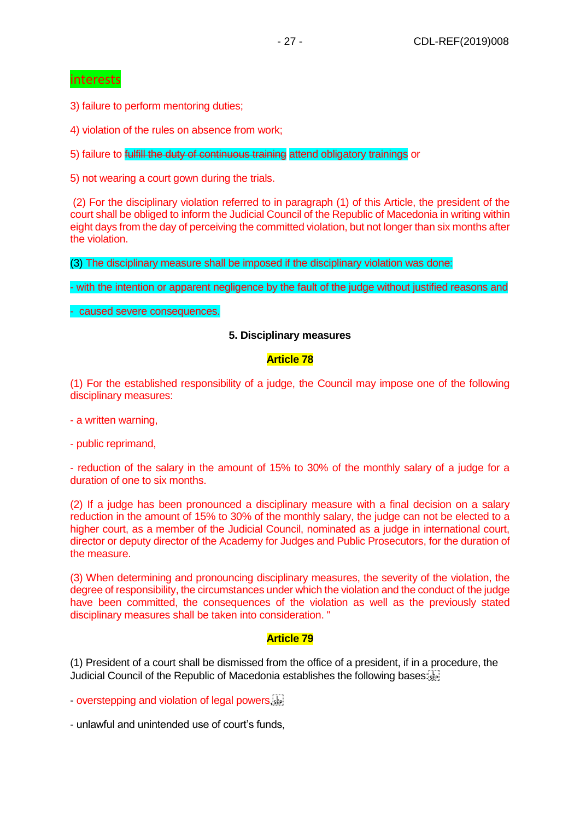# interests

3) failure to perform mentoring duties;

4) violation of the rules on absence from work;

5) failure to *fulfill the duty of continuous training* attend obligatory trainings or

5) not wearing a court gown during the trials.

(2) For the disciplinary violation referred to in paragraph (1) of this Article, the president of the court shall be obliged to inform the Judicial Council of the Republic of Macedonia in writing within eight days from the day of perceiving the committed violation, but not longer than six months after the violation.

(3) The disciplinary measure shall be imposed if the disciplinary violation was done:

- with the intention or apparent negligence by the fault of the judge without justified reasons and

- caused severe consequences.

#### **5. Disciplinary measures**

#### **Article 78**

(1) For the established responsibility of a judge, the Council may impose one of the following disciplinary measures:

- a written warning,
- public reprimand,

- reduction of the salary in the amount of 15% to 30% of the monthly salary of a judge for a duration of one to six months.

(2) If a judge has been pronounced a disciplinary measure with a final decision on a salary reduction in the amount of 15% to 30% of the monthly salary, the judge can not be elected to a higher court, as a member of the Judicial Council, nominated as a judge in international court, director or deputy director of the Academy for Judges and Public Prosecutors, for the duration of the measure.

(3) When determining and pronouncing disciplinary measures, the severity of the violation, the degree of responsibility, the circumstances under which the violation and the conduct of the judge have been committed, the consequences of the violation as well as the previously stated disciplinary measures shall be taken into consideration. "

## **Article 79**

(1) President of a court shall be dismissed from the office of a president, if in a procedure, the Judicial Council of the Republic of Macedonia establishes the following bases:

- overstepping and violation of legal powers,  $\ddot{W}$ 

- unlawful and unintended use of court's funds,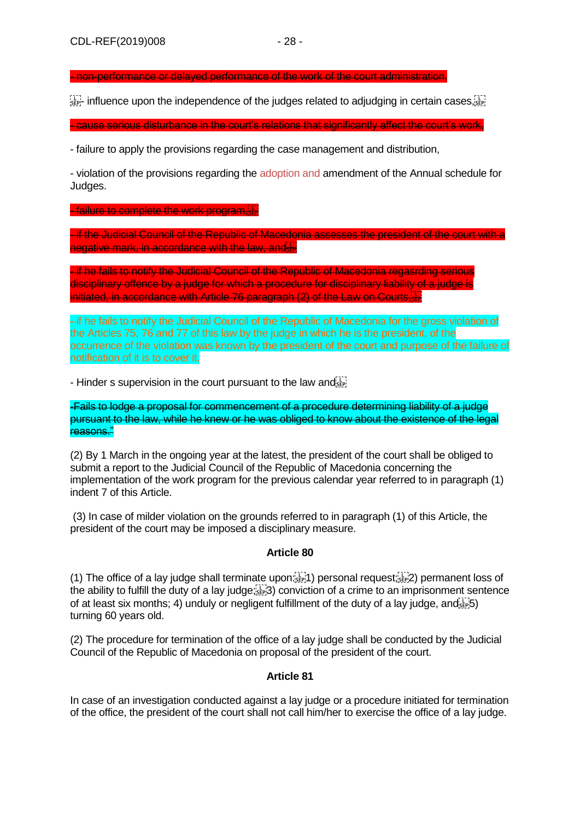- non-performance or delayed performance of the work of the court administration,

 $\frac{1}{35}$  influence upon the independence of the judges related to adjudging in certain cases,  $\frac{1}{35}$ 

- cause serious disturbance in the court's relations that significantly affect the court's work,

- failure to apply the provisions regarding the case management and distribution,

- violation of the provisions regarding the adoption and amendment of the Annual schedule for Judges.

**- failure to complete the work program.** 

- if the Judicial Council of the Republic of Macedonia assesses the president of the court with a negative mark, in accordance with the law, and

- if he fails to notify the Judicial Council of the Republic of Macedonia regasrding serious disciplinary offence by a judge for which a procedure for disciplinary liability of a judge is initiated, in accordance with Article 76 paragraph (2) of the Law on Courts,

- if he fails to notify the Judicial Council of the Republic of Macedonia for the gross violation of the Articles 75, 76 and 77 of this law by the judge in which he is the president, of the occurrence of the violation was known by the president of the court and purpose of the failure of notification of it is to cover it.

- Hinder s supervision in the court pursuant to the law and  $\overline{S}$ 

-Fails to lodge a proposal for commencement of a procedure determining liability of a judge pursuant to the law, while he knew or he was obliged to know about the existence of the legal reasons."

(2) By 1 March in the ongoing year at the latest, the president of the court shall be obliged to submit a report to the Judicial Council of the Republic of Macedonia concerning the implementation of the work program for the previous calendar year referred to in paragraph (1) indent 7 of this Article.

(3) In case of milder violation on the grounds referred to in paragraph (1) of this Article, the president of the court may be imposed a disciplinary measure.

## **Article 80**

(1) The office of a lay judge shall terminate upon  $\frac{1}{25}$ ]) personal request; $\frac{1}{25}$ [2] permanent loss of the ability to fulfill the duty of a lay judge; 3) conviction of a crime to an imprisonment sentence of at least six months; 4) unduly or negligent fulfillment of the duty of a lay judge, and  $\overline{1}$ ;  $\overline{5}$ ) turning 60 years old.

(2) The procedure for termination of the office of a lay judge shall be conducted by the Judicial Council of the Republic of Macedonia on proposal of the president of the court.

## **Article 81**

In case of an investigation conducted against a lay judge or a procedure initiated for termination of the office, the president of the court shall not call him/her to exercise the office of a lay judge.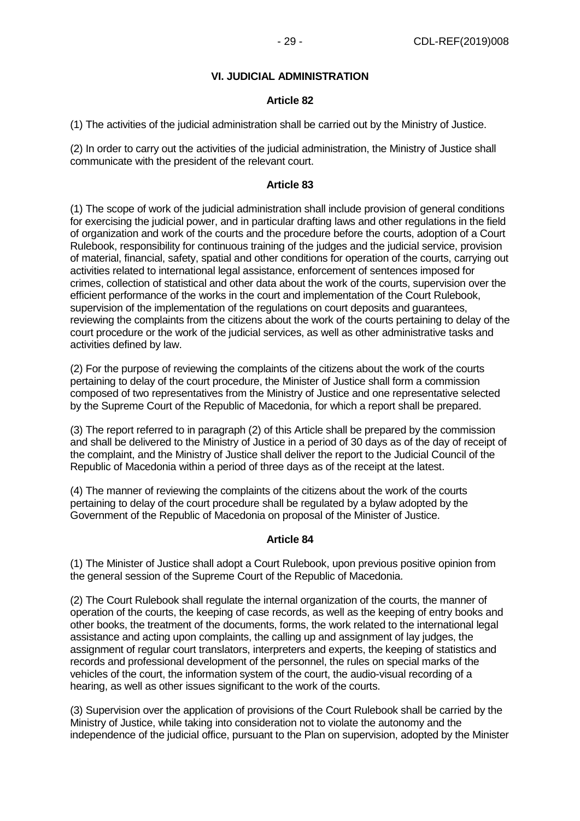# **VI. JUDICIAL ADMINISTRATION**

#### **Article 82**

(1) The activities of the judicial administration shall be carried out by the Ministry of Justice.

(2) In order to carry out the activities of the judicial administration, the Ministry of Justice shall communicate with the president of the relevant court.

#### **Article 83**

(1) The scope of work of the judicial administration shall include provision of general conditions for exercising the judicial power, and in particular drafting laws and other regulations in the field of organization and work of the courts and the procedure before the courts, adoption of a Court Rulebook, responsibility for continuous training of the judges and the judicial service, provision of material, financial, safety, spatial and other conditions for operation of the courts, carrying out activities related to international legal assistance, enforcement of sentences imposed for crimes, collection of statistical and other data about the work of the courts, supervision over the efficient performance of the works in the court and implementation of the Court Rulebook, supervision of the implementation of the regulations on court deposits and guarantees, reviewing the complaints from the citizens about the work of the courts pertaining to delay of the court procedure or the work of the judicial services, as well as other administrative tasks and activities defined by law.

(2) For the purpose of reviewing the complaints of the citizens about the work of the courts pertaining to delay of the court procedure, the Minister of Justice shall form a commission composed of two representatives from the Ministry of Justice and one representative selected by the Supreme Court of the Republic of Macedonia, for which a report shall be prepared.

(3) The report referred to in paragraph (2) of this Article shall be prepared by the commission and shall be delivered to the Ministry of Justice in a period of 30 days as of the day of receipt of the complaint, and the Ministry of Justice shall deliver the report to the Judicial Council of the Republic of Macedonia within a period of three days as of the receipt at the latest.

(4) The manner of reviewing the complaints of the citizens about the work of the courts pertaining to delay of the court procedure shall be regulated by a bylaw adopted by the Government of the Republic of Macedonia on proposal of the Minister of Justice.

#### **Article 84**

(1) The Minister of Justice shall adopt a Court Rulebook, upon previous positive opinion from the general session of the Supreme Court of the Republic of Macedonia.

(2) The Court Rulebook shall regulate the internal organization of the courts, the manner of operation of the courts, the keeping of case records, as well as the keeping of entry books and other books, the treatment of the documents, forms, the work related to the international legal assistance and acting upon complaints, the calling up and assignment of lay judges, the assignment of regular court translators, interpreters and experts, the keeping of statistics and records and professional development of the personnel, the rules on special marks of the vehicles of the court, the information system of the court, the audio-visual recording of a hearing, as well as other issues significant to the work of the courts.

(3) Supervision over the application of provisions of the Court Rulebook shall be carried by the Ministry of Justice, while taking into consideration not to violate the autonomy and the independence of the judicial office, pursuant to the Plan on supervision, adopted by the Minister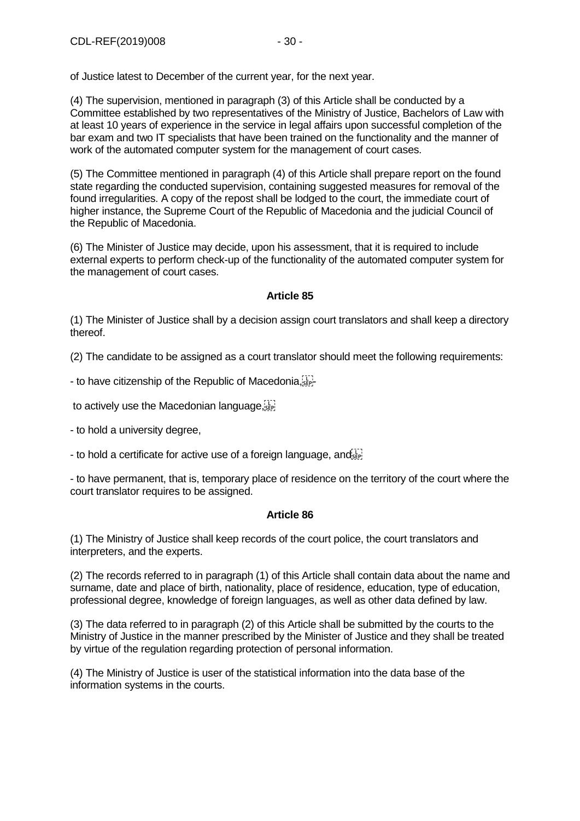of Justice latest to December of the current year, for the next year.

(4) The supervision, mentioned in paragraph (3) of this Article shall be conducted by a Committee established by two representatives of the Ministry of Justice, Bachelors of Law with at least 10 years of experience in the service in legal affairs upon successful completion of the bar exam and two IT specialists that have been trained on the functionality and the manner of work of the automated computer system for the management of court cases.

(5) The Committee mentioned in paragraph (4) of this Article shall prepare report on the found state regarding the conducted supervision, containing suggested measures for removal of the found irregularities. A copy of the repost shall be lodged to the court, the immediate court of higher instance, the Supreme Court of the Republic of Macedonia and the judicial Council of the Republic of Macedonia.

(6) The Minister of Justice may decide, upon his assessment, that it is required to include external experts to perform check-up of the functionality of the automated computer system for the management of court cases.

#### **Article 85**

(1) The Minister of Justice shall by a decision assign court translators and shall keep a directory thereof.

(2) The candidate to be assigned as a court translator should meet the following requirements:

- to have citizenship of the Republic of Macedonia, step-

to actively use the Macedonian language,  $\frac{1}{100}$ 

- to hold a university degree,

- to hold a certificate for active use of a foreign language, and  $\overline{S_{\text{EP}}^{[1]}},$ 

- to have permanent, that is, temporary place of residence on the territory of the court where the court translator requires to be assigned.

#### **Article 86**

(1) The Ministry of Justice shall keep records of the court police, the court translators and interpreters, and the experts.

(2) The records referred to in paragraph (1) of this Article shall contain data about the name and surname, date and place of birth, nationality, place of residence, education, type of education, professional degree, knowledge of foreign languages, as well as other data defined by law.

(3) The data referred to in paragraph (2) of this Article shall be submitted by the courts to the Ministry of Justice in the manner prescribed by the Minister of Justice and they shall be treated by virtue of the regulation regarding protection of personal information.

(4) The Ministry of Justice is user of the statistical information into the data base of the information systems in the courts.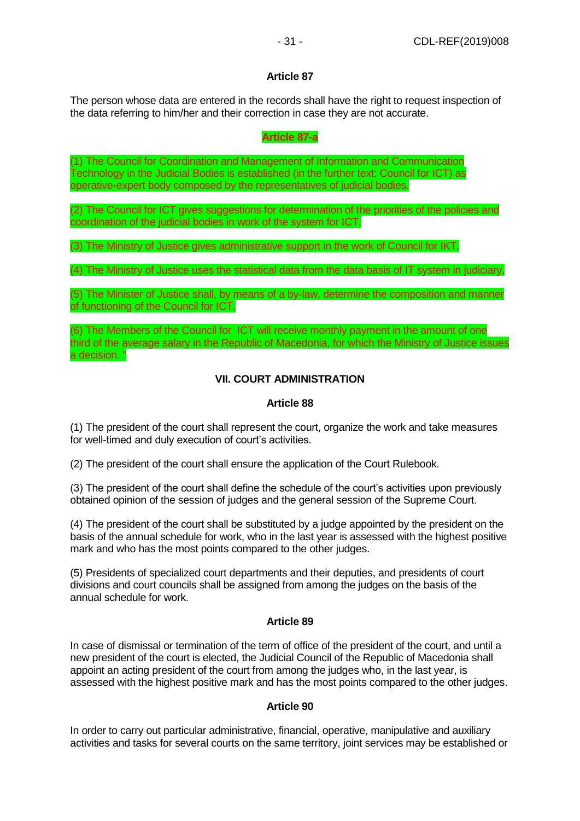## **Article 87**

The person whose data are entered in the records shall have the right to request inspection of the data referring to him/her and their correction in case they are not accurate.

#### **Article 87-a**

(1) The Council for Coordination and Management of Information and Communication Technology in the Judicial Bodies is established (in the further text: Council for ICT) as operative-expert body composed by the representatives of judicial bodies.

(2) The Council for ICT gives suggestions for determination of the priorities of the policies and coordination of the judicial bodies in work of the system for ICT.

(3) The Ministry of Justice gives administrative support in the work of Council for IKT.

(4) The Ministry of Justice uses the statistical data from the data basis of IT system in judiciary.

(5) The Minister of Justice shall, by means of a by-law, determine the composition and manner of functioning of the Council for ICT.

(6) The Members of the Council for ICT will receive monthly payment in the amount of one third of the average salary in the Republic of Macedonia, for which the Ministry of Justice issues a decision. "

# **VII. COURT ADMINISTRATION**

## **Article 88**

(1) The president of the court shall represent the court, organize the work and take measures for well-timed and duly execution of court's activities.

(2) The president of the court shall ensure the application of the Court Rulebook.

(3) The president of the court shall define the schedule of the court's activities upon previously obtained opinion of the session of judges and the general session of the Supreme Court.

(4) The president of the court shall be substituted by a judge appointed by the president on the basis of the annual schedule for work, who in the last year is assessed with the highest positive mark and who has the most points compared to the other judges.

(5) Presidents of specialized court departments and their deputies, and presidents of court divisions and court councils shall be assigned from among the judges on the basis of the annual schedule for work.

## **Article 89**

In case of dismissal or termination of the term of office of the president of the court, and until a new president of the court is elected, the Judicial Council of the Republic of Macedonia shall appoint an acting president of the court from among the judges who, in the last year, is assessed with the highest positive mark and has the most points compared to the other judges.

## **Article 90**

In order to carry out particular administrative, financial, operative, manipulative and auxiliary activities and tasks for several courts on the same territory, joint services may be established or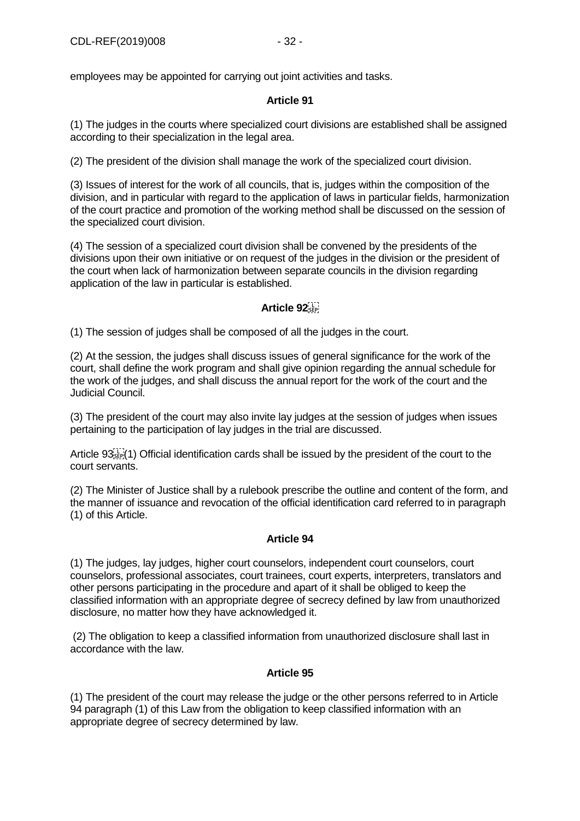employees may be appointed for carrying out joint activities and tasks.

# **Article 91**

(1) The judges in the courts where specialized court divisions are established shall be assigned according to their specialization in the legal area.

(2) The president of the division shall manage the work of the specialized court division.

(3) Issues of interest for the work of all councils, that is, judges within the composition of the division, and in particular with regard to the application of laws in particular fields, harmonization of the court practice and promotion of the working method shall be discussed on the session of the specialized court division.

(4) The session of a specialized court division shall be convened by the presidents of the divisions upon their own initiative or on request of the judges in the division or the president of the court when lack of harmonization between separate councils in the division regarding application of the law in particular is established.

# **Article 92**

(1) The session of judges shall be composed of all the judges in the court.

(2) At the session, the judges shall discuss issues of general significance for the work of the court, shall define the work program and shall give opinion regarding the annual schedule for the work of the judges, and shall discuss the annual report for the work of the court and the Judicial Council.

(3) The president of the court may also invite lay judges at the session of judges when issues pertaining to the participation of lay judges in the trial are discussed.

Article 93<sup>-1</sup>/<sub>1</sub><sup>1</sup>/<sub>1</sub> Official identification cards shall be issued by the president of the court to the court servants.

(2) The Minister of Justice shall by a rulebook prescribe the outline and content of the form, and the manner of issuance and revocation of the official identification card referred to in paragraph (1) of this Article.

## **Article 94**

(1) The judges, lay judges, higher court counselors, independent court counselors, court counselors, professional associates, court trainees, court experts, interpreters, translators and other persons participating in the procedure and apart of it shall be obliged to keep the classified information with an appropriate degree of secrecy defined by law from unauthorized disclosure, no matter how they have acknowledged it.

(2) The obligation to keep a classified information from unauthorized disclosure shall last in accordance with the law.

## **Article 95**

(1) The president of the court may release the judge or the other persons referred to in Article 94 paragraph (1) of this Law from the obligation to keep classified information with an appropriate degree of secrecy determined by law.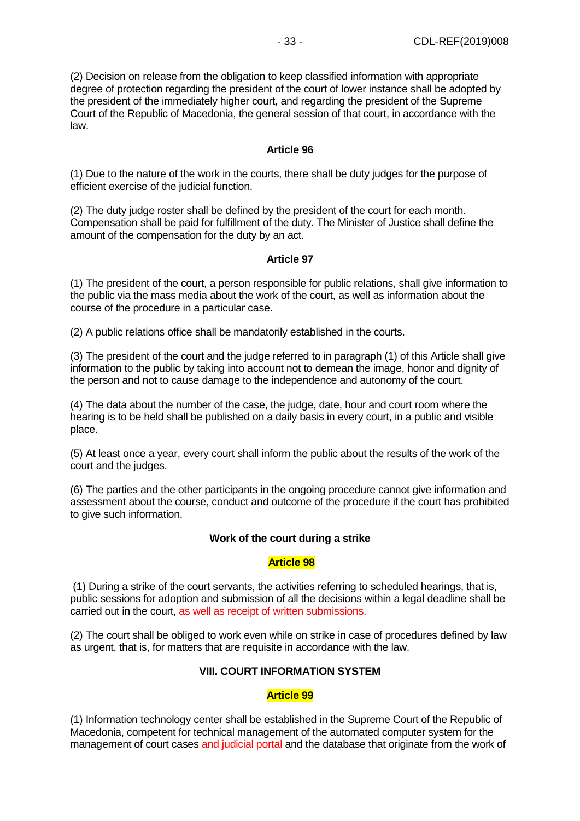(2) Decision on release from the obligation to keep classified information with appropriate degree of protection regarding the president of the court of lower instance shall be adopted by the president of the immediately higher court, and regarding the president of the Supreme Court of the Republic of Macedonia, the general session of that court, in accordance with the law.

## **Article 96**

(1) Due to the nature of the work in the courts, there shall be duty judges for the purpose of efficient exercise of the judicial function.

(2) The duty judge roster shall be defined by the president of the court for each month. Compensation shall be paid for fulfillment of the duty. The Minister of Justice shall define the amount of the compensation for the duty by an act.

# **Article 97**

(1) The president of the court, a person responsible for public relations, shall give information to the public via the mass media about the work of the court, as well as information about the course of the procedure in a particular case.

(2) A public relations office shall be mandatorily established in the courts.

(3) The president of the court and the judge referred to in paragraph (1) of this Article shall give information to the public by taking into account not to demean the image, honor and dignity of the person and not to cause damage to the independence and autonomy of the court.

(4) The data about the number of the case, the judge, date, hour and court room where the hearing is to be held shall be published on a daily basis in every court, in a public and visible place.

(5) At least once a year, every court shall inform the public about the results of the work of the court and the judges.

(6) The parties and the other participants in the ongoing procedure cannot give information and assessment about the course, conduct and outcome of the procedure if the court has prohibited to give such information.

## **Work of the court during a strike**

## **Article 98**

(1) During a strike of the court servants, the activities referring to scheduled hearings, that is, public sessions for adoption and submission of all the decisions within a legal deadline shall be carried out in the court, as well as receipt of written submissions.

(2) The court shall be obliged to work even while on strike in case of procedures defined by law as urgent, that is, for matters that are requisite in accordance with the law.

## **VIII. COURT INFORMATION SYSTEM**

## **Article 99**

(1) Information technology center shall be established in the Supreme Court of the Republic of Macedonia, competent for technical management of the automated computer system for the management of court cases and judicial portal and the database that originate from the work of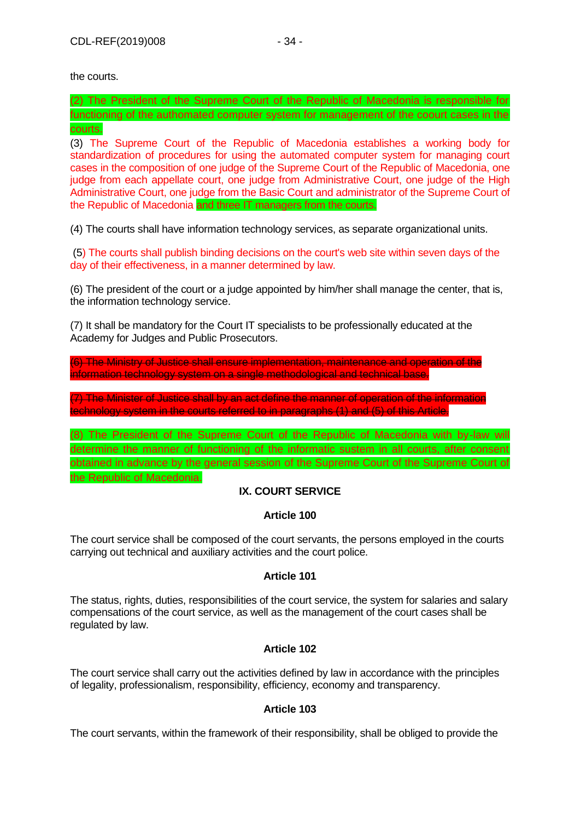the courts.

(2) The President of the Supreme Court of the Republic of Macedonia is responsible for functioning of the authomated computer system for management of the coourt cases in the courts.

(3) The Supreme Court of the Republic of Macedonia establishes a working body for standardization of procedures for using the automated computer system for managing court cases in the composition of one judge of the Supreme Court of the Republic of Macedonia, one judge from each appellate court, one judge from Administrative Court, one judge of the High Administrative Court, one judge from the Basic Court and administrator of the Supreme Court of the Republic of Macedonia and three IT managers from the courts.

(4) The courts shall have information technology services, as separate organizational units.

(5) The courts shall publish binding decisions on the court's web site within seven days of the day of their effectiveness, in a manner determined by law.

(6) The president of the court or a judge appointed by him/her shall manage the center, that is, the information technology service.

(7) It shall be mandatory for the Court IT specialists to be professionally educated at the Academy for Judges and Public Prosecutors.

(6) The Ministry of Justice shall ensure implementation, maintenance and operation of the information technology system on a single methodological and technical base.

(7) The Minister of Justice shall by an act define the manner of operation of the information technology system in the courts referred to in paragraphs (1) and (5) of this Article.

(8) The President of the Supreme Court of the Republic of Macedonia with by-law will determine the manner of functioning of the informatic sustem in all courts, after consent obtained in advance by the general session of the Supreme Court of the Supreme Court of the Republic of Macedonia.

# **IX. COURT SERVICE**

# **Article 100**

The court service shall be composed of the court servants, the persons employed in the courts carrying out technical and auxiliary activities and the court police.

## **Article 101**

The status, rights, duties, responsibilities of the court service, the system for salaries and salary compensations of the court service, as well as the management of the court cases shall be regulated by law.

## **Article 102**

The court service shall carry out the activities defined by law in accordance with the principles of legality, professionalism, responsibility, efficiency, economy and transparency.

## **Article 103**

The court servants, within the framework of their responsibility, shall be obliged to provide the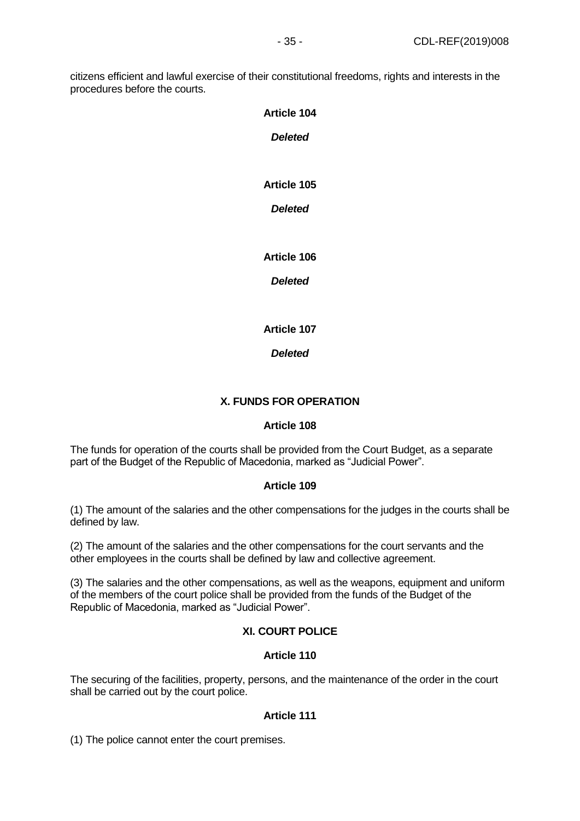citizens efficient and lawful exercise of their constitutional freedoms, rights and interests in the procedures before the courts.

| <b>Article 104</b> |
|--------------------|
| <b>Deleted</b>     |
|                    |
|                    |
| <b>Article 105</b> |
| <b>Deleted</b>     |
|                    |
| <b>Article 106</b> |
|                    |
| <b>Deleted</b>     |
|                    |
|                    |

**Article 107**

*Deleted*

# **X. FUNDS FOR OPERATION**

## **Article 108**

The funds for operation of the courts shall be provided from the Court Budget, as a separate part of the Budget of the Republic of Macedonia, marked as "Judicial Power".

## **Article 109**

(1) The amount of the salaries and the other compensations for the judges in the courts shall be defined by law.

(2) The amount of the salaries and the other compensations for the court servants and the other employees in the courts shall be defined by law and collective agreement.

(3) The salaries and the other compensations, as well as the weapons, equipment and uniform of the members of the court police shall be provided from the funds of the Budget of the Republic of Macedonia, marked as "Judicial Power".

## **XI. COURT POLICE**

## **Article 110**

The securing of the facilities, property, persons, and the maintenance of the order in the court shall be carried out by the court police.

## **Article 111**

(1) The police cannot enter the court premises.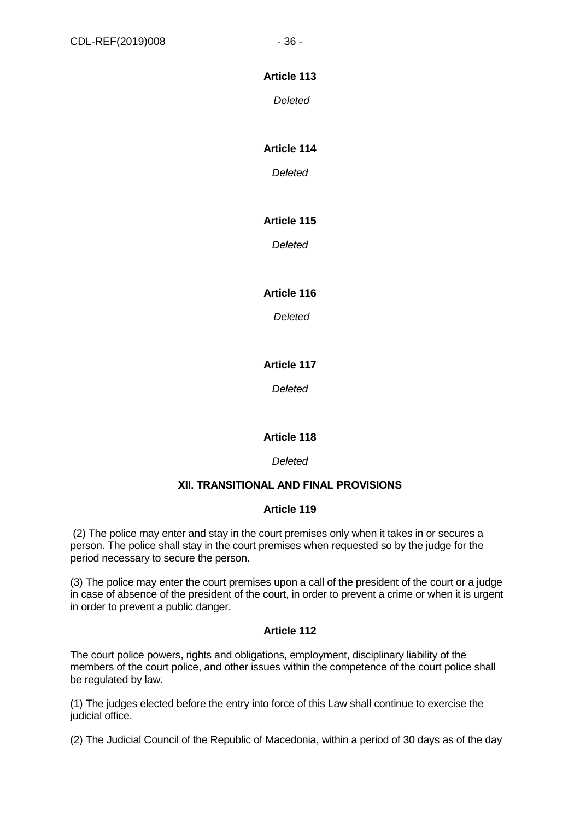# **Article 113**

*Deleted*

# **Article 114**

*Deleted*

# **Article 115**

*Deleted*

# **Article 116**

*Deleted*

# **Article 117**

*Deleted*

# **Article 118**

*Deleted*

## **ХII. TRANSITIONAL AND FINAL PROVISIONS**

## **Article 119**

(2) The police may enter and stay in the court premises only when it takes in or secures a person. The police shall stay in the court premises when requested so by the judge for the period necessary to secure the person.

(3) The police may enter the court premises upon a call of the president of the court or a judge in case of absence of the president of the court, in order to prevent a crime or when it is urgent in order to prevent a public danger.

## **Article 112**

The court police powers, rights and obligations, employment, disciplinary liability of the members of the court police, and other issues within the competence of the court police shall be regulated by law.

(1) The judges elected before the entry into force of this Law shall continue to exercise the judicial office.

(2) The Judicial Council of the Republic of Macedonia, within a period of 30 days as of the day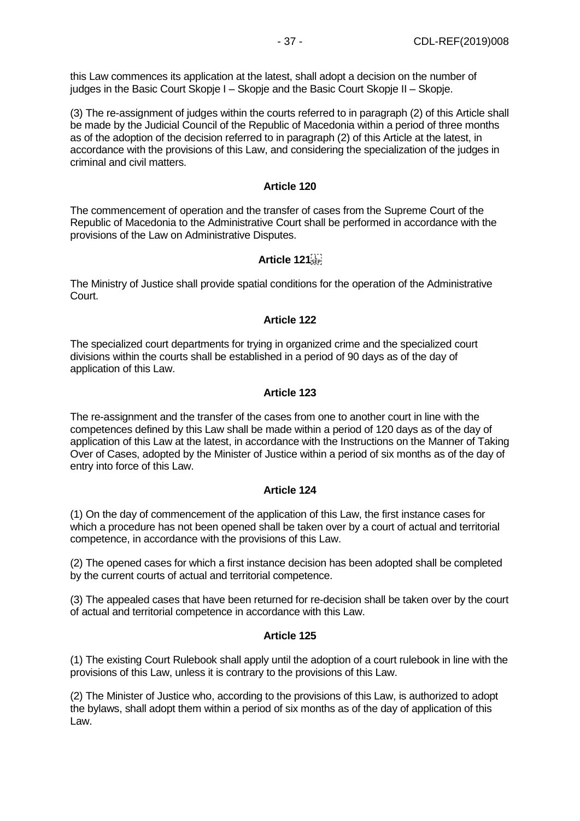this Law commences its application at the latest, shall adopt a decision on the number of judges in the Basic Court Skopje I – Skopje and the Basic Court Skopje II – Skopje.

(3) The re-assignment of judges within the courts referred to in paragraph (2) of this Article shall be made by the Judicial Council of the Republic of Macedonia within a period of three months as of the adoption of the decision referred to in paragraph (2) of this Article at the latest, in accordance with the provisions of this Law, and considering the specialization of the judges in criminal and civil matters.

#### **Article 120**

The commencement of operation and the transfer of cases from the Supreme Court of the Republic of Macedonia to the Administrative Court shall be performed in accordance with the provisions of the Law on Administrative Disputes.

## **Article 121**

The Ministry of Justice shall provide spatial conditions for the operation of the Administrative Court.

## **Article 122**

The specialized court departments for trying in organized crime and the specialized court divisions within the courts shall be established in a period of 90 days as of the day of application of this Law.

#### **Article 123**

The re-assignment and the transfer of the cases from one to another court in line with the competences defined by this Law shall be made within a period of 120 days as of the day of application of this Law at the latest, in accordance with the Instructions on the Manner of Taking Over of Cases, adopted by the Minister of Justice within a period of six months as of the day of entry into force of this Law.

## **Article 124**

(1) On the day of commencement of the application of this Law, the first instance cases for which a procedure has not been opened shall be taken over by a court of actual and territorial competence, in accordance with the provisions of this Law.

(2) The opened cases for which a first instance decision has been adopted shall be completed by the current courts of actual and territorial competence.

(3) The appealed cases that have been returned for re-decision shall be taken over by the court of actual and territorial competence in accordance with this Law.

## **Article 125**

(1) The existing Court Rulebook shall apply until the adoption of a court rulebook in line with the provisions of this Law, unless it is contrary to the provisions of this Law.

(2) The Minister of Justice who, according to the provisions of this Law, is authorized to adopt the bylaws, shall adopt them within a period of six months as of the day of application of this Law.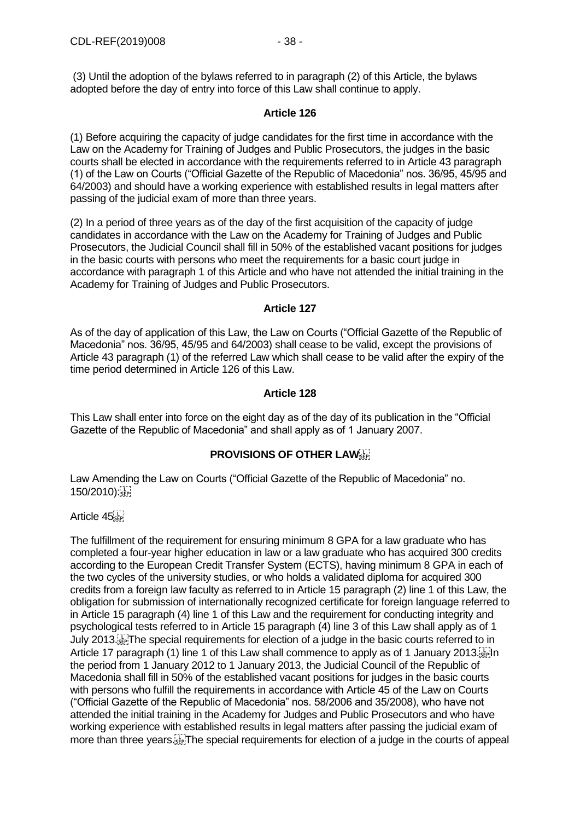(3) Until the adoption of the bylaws referred to in paragraph (2) of this Article, the bylaws adopted before the day of entry into force of this Law shall continue to apply.

## **Article 126**

(1) Before acquiring the capacity of judge candidates for the first time in accordance with the Law on the Academy for Training of Judges and Public Prosecutors, the judges in the basic courts shall be elected in accordance with the requirements referred to in Article 43 paragraph (1) of the Law on Courts ("Official Gazette of the Republic of Macedonia" nos. 36/95, 45/95 and 64/2003) and should have a working experience with established results in legal matters after passing of the judicial exam of more than three years.

(2) In a period of three years as of the day of the first acquisition of the capacity of judge candidates in accordance with the Law on the Academy for Training of Judges and Public Prosecutors, the Judicial Council shall fill in 50% of the established vacant positions for judges in the basic courts with persons who meet the requirements for a basic court judge in accordance with paragraph 1 of this Article and who have not attended the initial training in the Academy for Training of Judges and Public Prosecutors.

#### **Article 127**

As of the day of application of this Law, the Law on Courts ("Official Gazette of the Republic of Macedonia" nos. 36/95, 45/95 and 64/2003) shall cease to be valid, except the provisions of Article 43 paragraph (1) of the referred Law which shall cease to be valid after the expiry of the time period determined in Article 126 of this Law.

#### **Article 128**

This Law shall enter into force on the eight day as of the day of its publication in the "Official Gazette of the Republic of Macedonia" and shall apply as of 1 January 2007.

## **PROVISIONS OF OTHER LAW**

Law Amending the Law on Courts ("Official Gazette of the Republic of Macedonia" no. 150/2010): SEP

#### Article 45

The fulfillment of the requirement for ensuring minimum 8 GPA for a law graduate who has completed a four-year higher education in law or a law graduate who has acquired 300 credits according to the European Credit Transfer System (ECTS), having minimum 8 GPA in each of the two cycles of the university studies, or who holds a validated diploma for acquired 300 credits from a foreign law faculty as referred to in Article 15 paragraph (2) line 1 of this Law, the obligation for submission of internationally recognized certificate for foreign language referred to in Article 15 paragraph (4) line 1 of this Law and the requirement for conducting integrity and psychological tests referred to in Article 15 paragraph (4) line 3 of this Law shall apply as of 1 July 2013. The special requirements for election of a judge in the basic courts referred to in Article 17 paragraph (1) line 1 of this Law shall commence to apply as of 1 January 2013. the period from 1 January 2012 to 1 January 2013, the Judicial Council of the Republic of Macedonia shall fill in 50% of the established vacant positions for judges in the basic courts with persons who fulfill the requirements in accordance with Article 45 of the Law on Courts ("Official Gazette of the Republic of Macedonia" nos. 58/2006 and 35/2008), who have not attended the initial training in the Academy for Judges and Public Prosecutors and who have working experience with established results in legal matters after passing the judicial exam of more than three years. The special requirements for election of a judge in the courts of appeal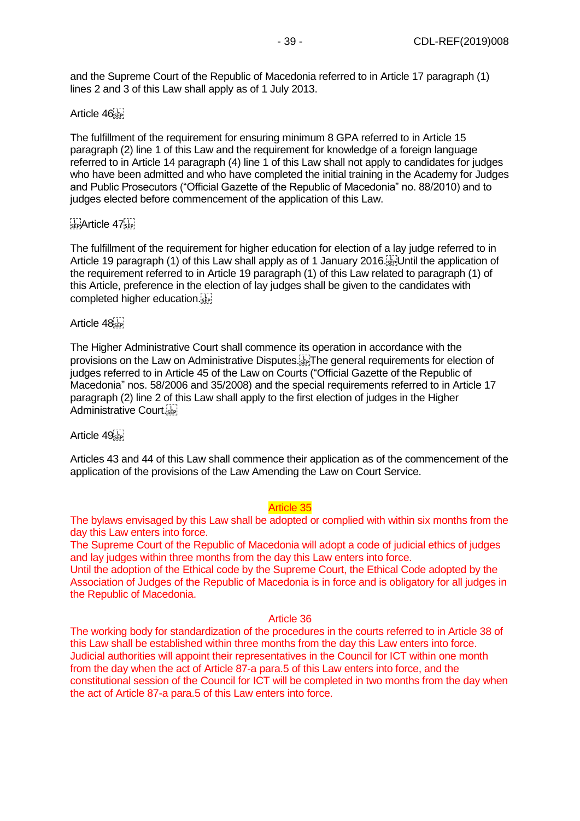and the Supreme Court of the Republic of Macedonia referred to in Article 17 paragraph (1) lines 2 and 3 of this Law shall apply as of 1 July 2013.

# Article 46

The fulfillment of the requirement for ensuring minimum 8 GPA referred to in Article 15 paragraph (2) line 1 of this Law and the requirement for knowledge of a foreign language referred to in Article 14 paragraph (4) line 1 of this Law shall not apply to candidates for judges who have been admitted and who have completed the initial training in the Academy for Judges and Public Prosecutors ("Official Gazette of the Republic of Macedonia" no. 88/2010) and to judges elected before commencement of the application of this Law.

# $E_{\text{SEP}}$ Article 47 $E_{\text{SEP}}$

The fulfillment of the requirement for higher education for election of a lay judge referred to in Article 19 paragraph (1) of this Law shall apply as of 1 January 2016. Until the application of the requirement referred to in Article 19 paragraph (1) of this Law related to paragraph (1) of this Article, preference in the election of lay judges shall be given to the candidates with completed higher education.

## Article 48

The Higher Administrative Court shall commence its operation in accordance with the provisions on the Law on Administrative Disputes. The general requirements for election of judges referred to in Article 45 of the Law on Courts ("Official Gazette of the Republic of Macedonia" nos. 58/2006 and 35/2008) and the special requirements referred to in Article 17 paragraph (2) line 2 of this Law shall apply to the first election of judges in the Higher Administrative Court.

#### Article 49

Articles 43 and 44 of this Law shall commence their application as of the commencement of the application of the provisions of the Law Amending the Law on Court Service.

#### Article 35

The bylaws envisaged by this Law shall be adopted or complied with within six months from the day this Law enters into force.

The Supreme Court of the Republic of Macedonia will adopt a code of judicial ethics of judges and lay judges within three months from the day this Law enters into force.

Until the adoption of the Ethical code by the Supreme Court, the Ethical Code adopted by the Association of Judges of the Republic of Macedonia is in force and is obligatory for all judges in the Republic of Macedonia.

## Article 36

The working body for standardization of the procedures in the courts referred to in Article 38 of this Law shall be established within three months from the day this Law enters into force. Judicial authorities will appoint their representatives in the Council for ICT within one month from the day when the act of Article 87-a para.5 of this Law enters into force, and the constitutional session of the Council for ICT will be completed in two months from the day when the act of Article 87-a para.5 of this Law enters into force.